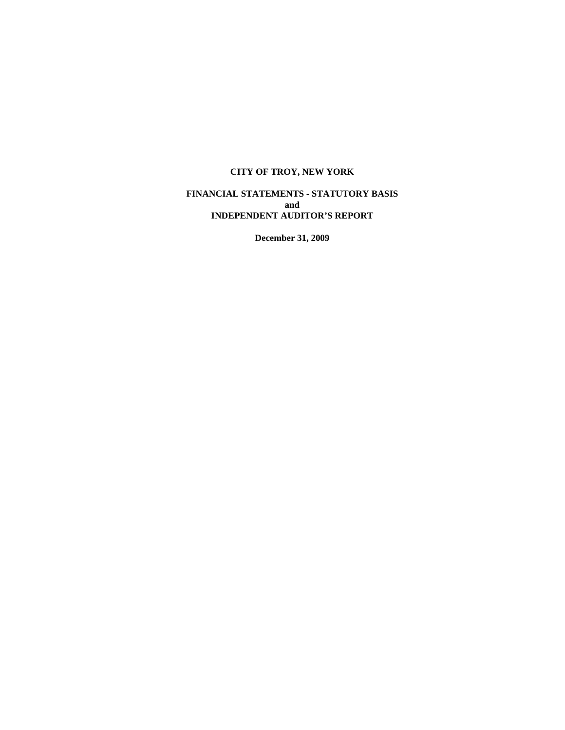# **FINANCIAL STATEMENTS - STATUTORY BASIS and INDEPENDENT AUDITOR'S REPORT**

**December 31, 2009**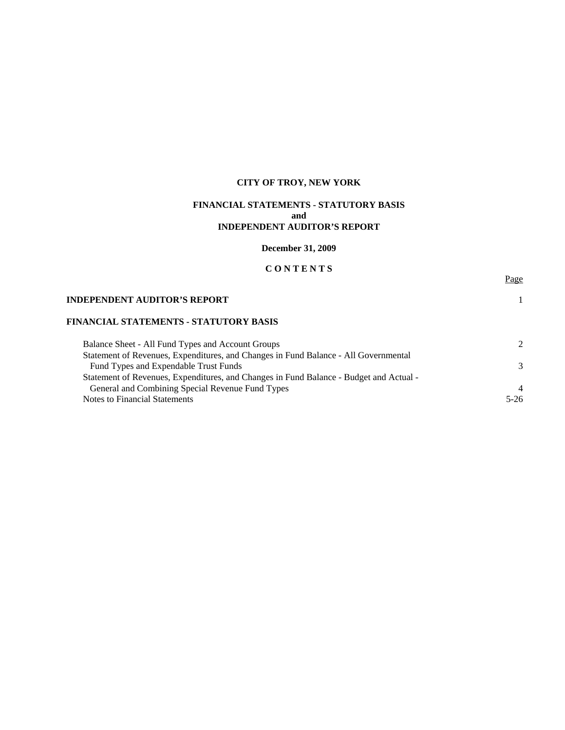# **FINANCIAL STATEMENTS - STATUTORY BASIS and INDEPENDENT AUDITOR'S REPORT**

**December 31, 2009** 

# **C O N T E N T S**

Page

### **INDEPENDENT AUDITOR'S REPORT** 1

# **FINANCIAL STATEMENTS - STATUTORY BASIS**

| Balance Sheet - All Fund Types and Account Groups                                      |                |
|----------------------------------------------------------------------------------------|----------------|
| Statement of Revenues, Expenditures, and Changes in Fund Balance - All Governmental    |                |
| Fund Types and Expendable Trust Funds                                                  | $\mathcal{R}$  |
| Statement of Revenues, Expenditures, and Changes in Fund Balance - Budget and Actual - |                |
| General and Combining Special Revenue Fund Types                                       | $\overline{4}$ |
| Notes to Financial Statements                                                          | $5-26$         |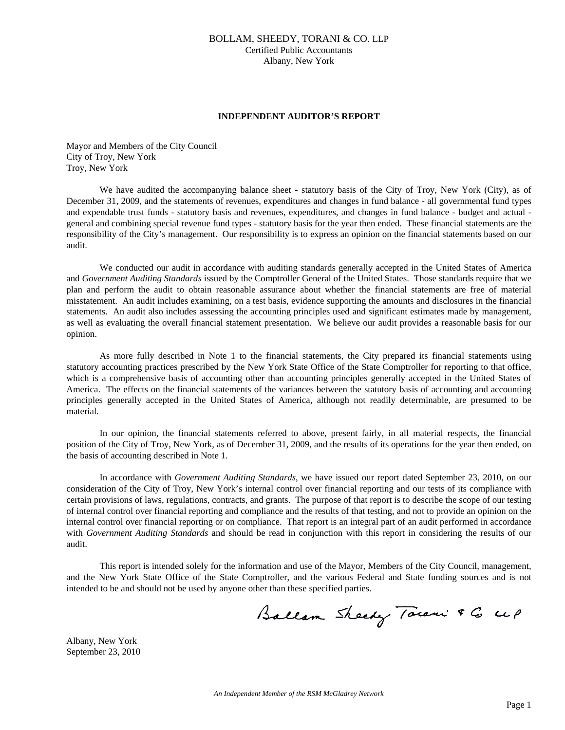# BOLLAM, SHEEDY, TORANI & CO. LLP Certified Public Accountants Albany, New York

#### **INDEPENDENT AUDITOR'S REPORT**

Mayor and Members of the City Council City of Troy, New York Troy, New York

We have audited the accompanying balance sheet - statutory basis of the City of Troy, New York (City), as of December 31, 2009, and the statements of revenues, expenditures and changes in fund balance - all governmental fund types and expendable trust funds - statutory basis and revenues, expenditures, and changes in fund balance - budget and actual general and combining special revenue fund types - statutory basis for the year then ended. These financial statements are the responsibility of the City's management. Our responsibility is to express an opinion on the financial statements based on our audit.

 We conducted our audit in accordance with auditing standards generally accepted in the United States of America and *Government Auditing Standards* issued by the Comptroller General of the United States. Those standards require that we plan and perform the audit to obtain reasonable assurance about whether the financial statements are free of material misstatement. An audit includes examining, on a test basis, evidence supporting the amounts and disclosures in the financial statements. An audit also includes assessing the accounting principles used and significant estimates made by management, as well as evaluating the overall financial statement presentation. We believe our audit provides a reasonable basis for our opinion.

 As more fully described in Note 1 to the financial statements, the City prepared its financial statements using statutory accounting practices prescribed by the New York State Office of the State Comptroller for reporting to that office, which is a comprehensive basis of accounting other than accounting principles generally accepted in the United States of America. The effects on the financial statements of the variances between the statutory basis of accounting and accounting principles generally accepted in the United States of America, although not readily determinable, are presumed to be material.

 In our opinion, the financial statements referred to above, present fairly, in all material respects, the financial position of the City of Troy, New York, as of December 31, 2009, and the results of its operations for the year then ended, on the basis of accounting described in Note 1.

 In accordance with *Government Auditing Standards*, we have issued our report dated September 23, 2010, on our consideration of the City of Troy, New York's internal control over financial reporting and our tests of its compliance with certain provisions of laws, regulations, contracts, and grants. The purpose of that report is to describe the scope of our testing of internal control over financial reporting and compliance and the results of that testing, and not to provide an opinion on the internal control over financial reporting or on compliance. That report is an integral part of an audit performed in accordance with *Government Auditing Standards* and should be read in conjunction with this report in considering the results of our audit.

 This report is intended solely for the information and use of the Mayor, Members of the City Council, management, and the New York State Office of the State Comptroller, and the various Federal and State funding sources and is not intended to be and should not be used by anyone other than these specified parties.

Ballam Sheedy Town & G UP

Albany, New York September 23, 2010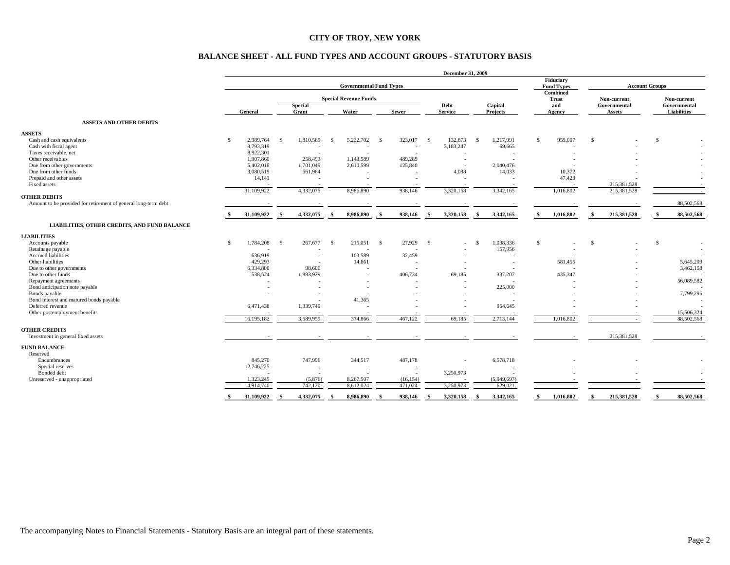#### **BALANCE SHEET - ALL FUND TYPES AND ACCOUNT GROUPS - STATUTORY BASIS**

|                                                                | December 31, 2009              |            |     |                         |              |                              |             |                          |              |                                |                                 |                          |                             |               |                             |             |               |                    |
|----------------------------------------------------------------|--------------------------------|------------|-----|-------------------------|--------------|------------------------------|-------------|--------------------------|--------------|--------------------------------|---------------------------------|--------------------------|-----------------------------|---------------|-----------------------------|-------------|---------------|--------------------|
|                                                                | <b>Governmental Fund Types</b> |            |     |                         |              |                              |             |                          |              | Fiduciary<br><b>Fund Types</b> |                                 |                          | <b>Account Groups</b>       |               |                             |             |               |                    |
|                                                                |                                |            |     |                         |              | <b>Special Revenue Funds</b> |             |                          |              |                                | <b>Combined</b><br><b>Trust</b> |                          | Non-current<br>Governmental |               | Non-current<br>Governmental |             |               |                    |
|                                                                |                                | General    |     | <b>Special</b><br>Grant |              | Water                        |             | <b>Sewer</b>             |              | Debt<br><b>Service</b>         |                                 | Capital<br>Projects      |                             | and<br>Agency |                             | Assets      |               | <b>Liabilities</b> |
| <b>ASSETS AND OTHER DEBITS</b>                                 |                                |            |     |                         |              |                              |             |                          |              |                                |                                 |                          |                             |               |                             |             |               |                    |
| <b>ASSETS</b>                                                  |                                |            |     |                         |              |                              |             |                          |              |                                |                                 |                          |                             |               |                             |             |               |                    |
| Cash and cash equivalents                                      | \$.                            | 2,989,764  | - S | 1,810,569               | - \$         | 5,232,702                    | - S         | 323,017                  | $\mathbf{s}$ | 132,873                        | -S                              | 1,217,991                | <sup>\$</sup>               | 959,007       | $\mathbb{S}$                |             | $\mathcal{S}$ |                    |
| Cash with fiscal agent                                         |                                | 8,793,319  |     |                         |              |                              |             | $\sim$                   |              | 3,183,247                      |                                 | 69,665                   |                             |               |                             |             |               |                    |
| Taxes receivable, net                                          |                                | 8,922,301  |     | $\sim$                  |              |                              |             |                          |              |                                |                                 |                          |                             |               |                             |             |               |                    |
| Other receivables                                              |                                | 1,907,860  |     | 258,493                 |              | 1,143,589                    |             | 489,289                  |              | $\sim$                         |                                 |                          |                             |               |                             |             |               |                    |
| Due from other governments                                     |                                | 5,402,018  |     | 1,701,049               |              | 2,610,599                    |             | 125,840                  |              | $\sim$                         |                                 | 2,040,476                |                             |               |                             |             |               |                    |
| Due from other funds                                           |                                | 3,080,519  |     | 561,964                 |              |                              |             |                          |              | 4,038                          |                                 | 14,033                   |                             | 10,372        |                             |             |               |                    |
| Prepaid and other assets                                       |                                | 14,141     |     |                         |              |                              |             |                          |              |                                |                                 |                          |                             | 47,423        |                             |             |               |                    |
| Fixed assets                                                   |                                |            |     |                         |              |                              |             |                          |              |                                |                                 |                          |                             |               |                             | 215,381,528 |               |                    |
|                                                                |                                | 31,109,922 |     | 4,332,075               |              | 8,986,890                    |             | 938,146                  |              | 3,320,158                      |                                 | 3,342,165                |                             | 1,016,802     |                             | 215,381,528 |               | $\sim$             |
| <b>OTHER DEBITS</b>                                            |                                |            |     |                         |              |                              |             |                          |              |                                |                                 |                          |                             |               |                             |             |               |                    |
| Amount to be provided for retirement of general long-term debt |                                |            |     |                         |              |                              |             |                          |              |                                |                                 |                          |                             |               |                             |             |               | 88,502,568         |
|                                                                |                                | 31,109,922 |     | 4,332,075               |              | 8,986,890                    | $\triangle$ | 938,146                  |              | 3,320,158                      |                                 | 3,342,165                |                             | 1,016,802     |                             | 215,381,528 |               | 88,502,568         |
| LIABILITIES, OTHER CREDITS, AND FUND BALANCE                   |                                |            |     |                         |              |                              |             |                          |              |                                |                                 |                          |                             |               |                             |             |               |                    |
| <b>LIABILITIES</b>                                             |                                |            |     |                         |              |                              |             |                          |              |                                |                                 |                          |                             |               |                             |             |               |                    |
| Accounts payable                                               | S                              | 1,784,208  | - S | 267,677                 | $\mathbf{s}$ | 215,051                      | - S         | 27,929                   | <sup>S</sup> | $\sim$                         | - S                             | 1,038,336                | $\mathcal{S}$               |               | -S                          |             | S             | $\sim$             |
| Retainage payable                                              |                                |            |     |                         |              |                              |             |                          |              |                                |                                 | 157,956                  |                             |               |                             |             |               |                    |
| Accrued liabilities                                            |                                | 636,919    |     | $\sim$                  |              | 103,589                      |             | 32,459                   |              | $\sim$                         |                                 |                          |                             |               |                             |             |               |                    |
| Other liabilities                                              |                                | 429,293    |     |                         |              | 14,861                       |             | ÷.                       |              | $\overline{\phantom{a}}$       |                                 | $\overline{\phantom{a}}$ |                             | 581,455       |                             |             |               | 5,645,209          |
| Due to other governments                                       |                                | 6,334,800  |     | 98,600                  |              |                              |             | $\overline{\phantom{a}}$ |              |                                |                                 |                          |                             |               |                             |             |               | 3,462,158          |
| Due to other funds                                             |                                | 538,524    |     | 1,883,929               |              |                              |             | 406,734                  |              | 69,185                         |                                 | 337,207                  |                             | 435,347       |                             |             |               |                    |
| Repayment agreements                                           |                                |            |     |                         |              |                              |             |                          |              |                                |                                 |                          |                             |               |                             |             |               | 56,089,582         |
| Bond anticipation note payable                                 |                                |            |     | $\sim$                  |              | $\sim$                       |             |                          |              | $\sim$                         |                                 | 225,000                  |                             |               |                             |             |               |                    |
| Bonds payable                                                  |                                |            |     |                         |              |                              |             |                          |              |                                |                                 |                          |                             |               |                             |             |               | 7,799,295          |
| Bond interest and matured bonds payable                        |                                |            |     |                         |              | 41,365                       |             |                          |              | $\sim$                         |                                 |                          |                             |               |                             |             |               |                    |
| Deferred revenue                                               |                                | 6,471,438  |     | 1,339,749               |              |                              |             |                          |              |                                |                                 | 954,645                  |                             |               |                             |             |               |                    |
| Other postemployment benefits                                  |                                |            |     |                         |              |                              |             |                          |              |                                |                                 |                          |                             |               |                             |             |               | 15,506,324         |
|                                                                |                                | 16,195,182 |     | 3.589.955               |              | 374,866                      |             | 467.122                  |              | 69.185                         |                                 | 2.713.144                |                             | 1.016.802     |                             |             |               | 88,502,568         |
| <b>OTHER CREDITS</b>                                           |                                |            |     |                         |              |                              |             |                          |              |                                |                                 |                          |                             |               |                             |             |               |                    |
| Investment in general fixed assets                             |                                |            |     |                         |              |                              |             |                          |              |                                |                                 |                          |                             |               |                             | 215,381,528 |               |                    |
| <b>FUND BALANCE</b>                                            |                                |            |     |                         |              |                              |             |                          |              |                                |                                 |                          |                             |               |                             |             |               |                    |
| Reserved                                                       |                                |            |     |                         |              |                              |             |                          |              |                                |                                 |                          |                             |               |                             |             |               |                    |
| Encumbrances                                                   |                                | 845,270    |     | 747,996                 |              | 344,517                      |             | 487,178                  |              |                                |                                 |                          |                             |               |                             |             |               |                    |
| Special reserves                                               |                                | 12,746,225 |     |                         |              |                              |             |                          |              | $\sim$                         |                                 | 6,578,718                |                             |               |                             |             |               |                    |
| Bonded debt                                                    |                                |            |     |                         |              |                              |             |                          |              | 3,250,973                      |                                 |                          |                             |               |                             |             |               |                    |
| Unreserved - unappropriated                                    |                                | 1.323.245  |     | (5,876)                 |              | 8,267,507                    |             | (16, 154)                |              |                                |                                 | (5.949.697)              |                             |               |                             |             |               |                    |
|                                                                |                                | 14,914,740 |     | 742,120                 |              | 8,612,024                    |             | 471.024                  |              | 3,250,973                      |                                 | 629,021                  |                             |               |                             |             |               |                    |
|                                                                |                                |            |     |                         |              |                              |             |                          |              |                                |                                 |                          |                             |               |                             |             |               |                    |
|                                                                |                                | 31,109,922 |     | 4,332,075               | - \$         | 8,986,890                    | - \$        | 938,146                  | - 9          | 3.320.158                      | - \$                            | 3,342,165                |                             | 1,016,802     | -8                          | 215,381,528 |               | 88,502,568         |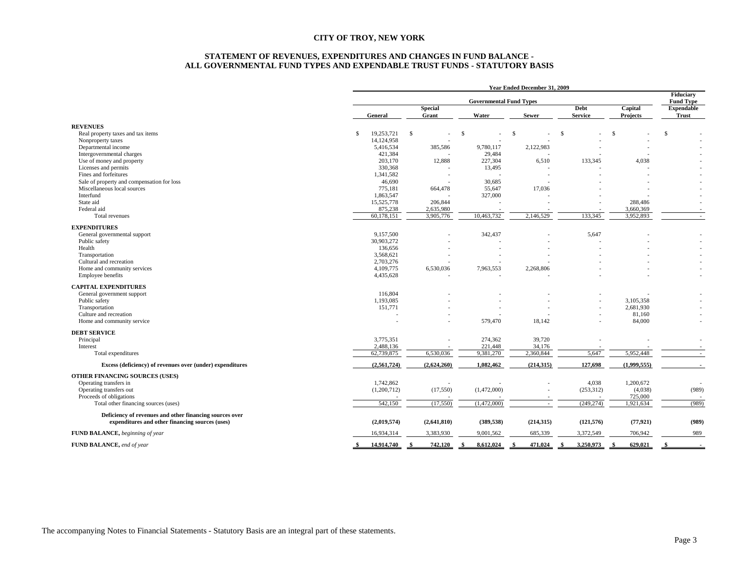#### **STATEMENT OF REVENUES, EXPENDITURES AND CHANGES IN FUND BALANCE - ALL GOVERNMENTAL FUND TYPES AND EXPENDABLE TRUST FUNDS - STATUTORY BASIS**

|                                                           | Year Ended December 31, 2009 |                         |                                |               |                        |                     |                                      |  |  |
|-----------------------------------------------------------|------------------------------|-------------------------|--------------------------------|---------------|------------------------|---------------------|--------------------------------------|--|--|
|                                                           |                              |                         | <b>Governmental Fund Types</b> |               |                        |                     | <b>Fiduciary</b><br><b>Fund Type</b> |  |  |
|                                                           | General                      | <b>Special</b><br>Grant | Water                          | <b>Sewer</b>  | Debt<br><b>Service</b> | Capital<br>Projects | <b>Expendable</b><br><b>Trust</b>    |  |  |
| <b>REVENUES</b>                                           |                              |                         |                                |               |                        |                     |                                      |  |  |
| Real property taxes and tax items                         | \$<br>19,253,721             | \$                      | -\$                            | <sup>\$</sup> | \$                     | $\mathbb{S}$        | $\mathbb{S}$                         |  |  |
| Nonproperty taxes                                         | 14,124,958                   |                         |                                |               |                        |                     |                                      |  |  |
| Departmental income                                       | 5,416,534                    | 385,586                 | 9,780,117                      | 2,122,983     |                        |                     |                                      |  |  |
| Intergovernmental charges                                 | 421,384                      |                         | 29,484                         |               |                        |                     |                                      |  |  |
| Use of money and property                                 | 203,170                      | 12,888                  | 227,304                        | 6,510         | 133,345                | 4,038               |                                      |  |  |
| Licenses and permits                                      | 330,368                      |                         | 13,495                         |               |                        |                     |                                      |  |  |
| Fines and forfeitures                                     | 1,341,582                    |                         |                                |               |                        |                     |                                      |  |  |
| Sale of property and compensation for loss                | 46,690                       |                         | 30,685                         |               |                        |                     |                                      |  |  |
| Miscellaneous local sources                               | 775,181                      | 664,478                 | 55,647                         | 17,036        |                        |                     |                                      |  |  |
| Interfund                                                 | 1,863,547                    |                         | 327,000                        |               |                        |                     |                                      |  |  |
| State aid                                                 | 15,525,778                   | 206,844                 |                                |               |                        | 288,486             |                                      |  |  |
| Federal aid                                               | 875,238                      | 2,635,980               |                                |               |                        | 3.660.369           |                                      |  |  |
| Total revenues                                            | 60,178,151                   | 3.905.776               | 10.463.732                     | 2.146.529     | 133.345                | 3.952.893           |                                      |  |  |
| <b>EXPENDITURES</b>                                       |                              |                         |                                |               |                        |                     |                                      |  |  |
| General governmental support                              | 9.157.500                    |                         | 342,437                        |               | 5.647                  |                     |                                      |  |  |
| Public safety                                             | 30,903,272                   |                         |                                |               |                        |                     |                                      |  |  |
| Health                                                    | 136,656                      |                         |                                |               |                        |                     |                                      |  |  |
| Transportation                                            | 3,568,621                    |                         |                                |               |                        |                     |                                      |  |  |
| Cultural and recreation                                   | 2,703,276                    |                         |                                |               |                        |                     |                                      |  |  |
| Home and community services                               | 4,109,775                    | 6,530,036               | 7,963,553                      | 2,268,806     |                        |                     |                                      |  |  |
| Employee benefits                                         | 4,435,628                    |                         |                                |               |                        |                     |                                      |  |  |
|                                                           |                              |                         |                                |               |                        |                     |                                      |  |  |
| <b>CAPITAL EXPENDITURES</b>                               |                              |                         |                                |               |                        |                     |                                      |  |  |
| General government support                                | 116,804                      |                         |                                |               |                        |                     |                                      |  |  |
| Public safety                                             | 1,193,085                    |                         |                                |               |                        | 3,105,358           |                                      |  |  |
| Transportation                                            | 151,771                      |                         |                                |               |                        | 2,681,930           |                                      |  |  |
| Culture and recreation                                    |                              |                         |                                |               |                        | 81,160              | $\sim$                               |  |  |
| Home and community service                                |                              |                         | 579,470                        | 18,142        |                        | 84,000              | ÷.                                   |  |  |
| <b>DEBT SERVICE</b>                                       |                              |                         |                                |               |                        |                     |                                      |  |  |
| Principal                                                 | 3,775,351                    |                         | 274.362                        | 39.720        |                        |                     | $\overline{\phantom{a}}$             |  |  |
| Interest                                                  | 2,488,136                    |                         | 221,448                        | 34,176        |                        |                     |                                      |  |  |
| Total expenditures                                        | 62,739,875                   | 6,530,036               | 9,381,270                      | 2,360,844     | 5,647                  | 5,952,448           | $\sim$                               |  |  |
| Excess (deficiency) of revenues over (under) expenditures | (2,561,724)                  | (2,624,260)             | 1,082,462                      | (214, 315)    | 127,698                | (1,999,555)         | $\sim$                               |  |  |
| OTHER FINANCING SOURCES (USES)                            |                              |                         |                                |               |                        |                     |                                      |  |  |
| Operating transfers in                                    | 1,742,862                    |                         |                                |               | 4,038                  | 1,200,672           |                                      |  |  |
| Operating transfers out                                   | (1,200,712)                  | (17, 550)               | (1,472,000)                    |               | (253,312)              | (4,038)             | (989)                                |  |  |
| Proceeds of obligations                                   |                              |                         |                                |               |                        | 725,000             |                                      |  |  |
| Total other financing sources (uses)                      | 542,150                      | (17,550)                | (1,472,000)                    | $\sim$        | (249, 274)             | 1,921,634           | (989)                                |  |  |
| Deficiency of revenues and other financing sources over   |                              |                         |                                |               |                        |                     |                                      |  |  |
| expenditures and other financing sources (uses)           | (2,019,574)                  | (2,641,810)             | (389, 538)                     | (214,315)     | (121, 576)             | (77, 921)           | (989)                                |  |  |
| FUND BALANCE, beginning of year                           | 16,934,314                   | 3,383,930               | 9,001,562                      | 685,339       | 3,372,549              | 706,942             | 989                                  |  |  |
|                                                           |                              |                         |                                |               |                        |                     |                                      |  |  |
| FUND BALANCE, end of year                                 | 14,914,740                   | 742,120<br>- \$         | 8,612,024                      | 471,024       | 3,250,973              | 629,021             |                                      |  |  |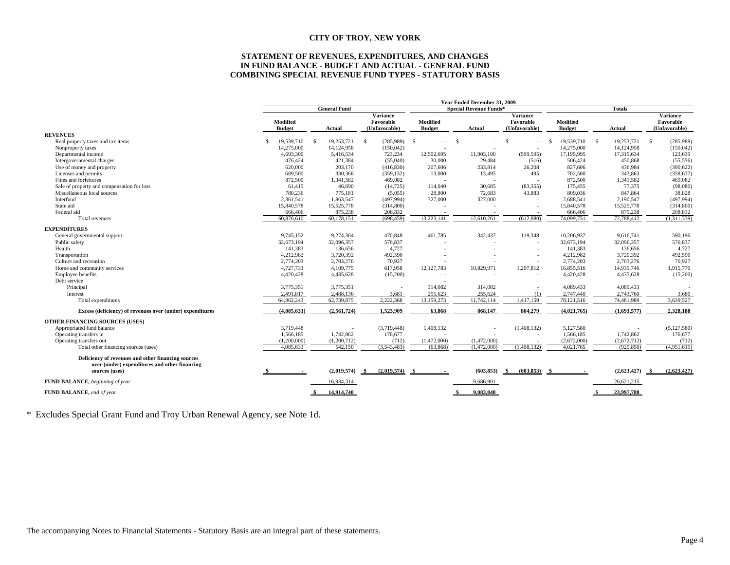#### **STATEMENT OF REVENUES, EXPENDITURES, AND CHANGES IN FUND BALANCE - BUDGET AND ACTUAL - GENERAL FUND COMBINING SPECIAL REVENUE FUND TYPES - STATUTORY BASIS**

|                                                                                                     |    |                           |     |                     |     |                                        | Year Ended December 31, 2009<br><b>Special Revenue Funds*</b> |      |             |                                        |                           |  |             |                                      |               |
|-----------------------------------------------------------------------------------------------------|----|---------------------------|-----|---------------------|-----|----------------------------------------|---------------------------------------------------------------|------|-------------|----------------------------------------|---------------------------|--|-------------|--------------------------------------|---------------|
|                                                                                                     |    |                           |     | <b>General Fund</b> |     |                                        |                                                               |      |             |                                        | <b>Totals</b><br>Variance |  |             |                                      |               |
|                                                                                                     |    | Modified<br><b>Budget</b> |     | Actual              |     | Variance<br>Favorable<br>(Unfavorable) | Modified<br><b>Budget</b>                                     |      | Actual      | Variance<br>Favorable<br>(Unfavorable) | Modified<br><b>Budget</b> |  |             | Favorable<br>(Unfavorable)<br>Actual |               |
| <b>REVENUES</b>                                                                                     |    |                           |     |                     |     |                                        |                                                               |      |             |                                        |                           |  |             |                                      |               |
| Real property taxes and tax items                                                                   | -S | 19,539,710                | - S | 19,253,721          | -S  | $(285,989)$ \$                         |                                                               | - \$ |             | <b>S</b>                               | 19,539,710 \$<br>-S       |  | 19,253,721  | -S                                   | (285,989)     |
| Nonproperty taxes                                                                                   |    | 14,275,000                |     | 14,124,958          |     | (150, 042)                             |                                                               |      |             |                                        | 14,275,000                |  | 14,124,958  |                                      | (150, 042)    |
| Departmental income                                                                                 |    | 4,693,300                 |     | 5,416,534           |     | 723,234                                | 12,502,695                                                    |      | 11,903,100  | (599, 595)                             | 17,195,995                |  | 17,319,634  |                                      | 123,639       |
| Intergovernmental charges                                                                           |    | 476,424                   |     | 421,384             |     | (55,040)                               | 30,000                                                        |      | 29,484      | (516)                                  | 506,424                   |  | 450,868     |                                      | (55, 556)     |
| Use of money and property                                                                           |    | 620,000                   |     | 203,170             |     | (416, 830)                             | 207,606                                                       |      | 233,814     | 26,208                                 | 827,606                   |  | 436,984     |                                      | (390, 622)    |
| Licenses and permits                                                                                |    | 689,500                   |     | 330,368             |     | (359, 132)                             | 13,000                                                        |      | 13,495      | 495                                    | 702,500                   |  | 343,863     |                                      | (358, 637)    |
| Fines and forfeitures                                                                               |    | 872,500                   |     | 1,341,582           |     | 469,082                                |                                                               |      |             |                                        | 872,500                   |  | 1,341,582   |                                      | 469,082       |
| Sale of property and compensation for loss                                                          |    | 61,415                    |     | 46,690              |     | (14, 725)                              | 114,040                                                       |      | 30,685      | (83,355)                               | 175,455                   |  | 77,375      |                                      | (98,080)      |
| Miscellaneous local sources                                                                         |    | 780,236                   |     | 775,181             |     | (5,055)                                | 28,800                                                        |      | 72,683      | 43,883                                 | 809,036                   |  | 847,864     |                                      | 38,828        |
| Interfund                                                                                           |    | 2,361,541                 |     | 1,863,547           |     | (497, 994)                             | 327,000                                                       |      | 327,000     |                                        | 2,688,541                 |  | 2,190,547   |                                      | (497, 994)    |
| State aid                                                                                           |    | 15,840,578                |     | 15,525,778          |     | (314,800)                              |                                                               |      |             |                                        | 15,840,578                |  | 15,525,778  |                                      | (314, 800)    |
| Federal aid                                                                                         |    | 666,406                   |     | 875,238             |     | 208,832                                |                                                               |      |             |                                        | 666,406                   |  | 875,238     |                                      | 208,832       |
| Total revenues                                                                                      |    | 60,876,610                |     | 60,178,151          |     | (698, 459)                             | 13,223,141                                                    |      | 12.610.261  | (612,880)                              | 74,099,751                |  | 72.788.412  |                                      | (1.311.339)   |
| <b>EXPENDITURES</b>                                                                                 |    |                           |     |                     |     |                                        |                                                               |      |             |                                        |                           |  |             |                                      |               |
| General governmental support                                                                        |    | 9,745,152                 |     | 9,274,304           |     | 470,848                                | 461,785                                                       |      | 342,437     | 119,348                                | 10,206,937                |  | 9,616,741   |                                      | 590,196       |
| Public safety                                                                                       |    | 32,673,194                |     | 32,096,357          |     | 576,837                                |                                                               |      |             |                                        | 32,673,194                |  | 32,096,357  |                                      | 576,837       |
| Health                                                                                              |    | 141,383                   |     | 136,656             |     | 4.727                                  |                                                               |      |             |                                        | 141,383                   |  | 136,656     |                                      | 4,727         |
| Transportation                                                                                      |    | 4,212,982                 |     | 3,720,392           |     | 492,590                                |                                                               |      |             |                                        | 4,212,982                 |  | 3,720,392   |                                      | 492,590       |
| Culture and recreation                                                                              |    | 2,774,203                 |     | 2,703,276           |     | 70,927                                 |                                                               |      |             |                                        | 2,774,203                 |  | 2,703,276   |                                      | 70,927        |
| Home and community services                                                                         |    | 4,727,733                 |     | 4,109,775           |     | 617,958                                | 12, 127, 783                                                  |      | 10,829,971  | 1,297,812                              | 16,855,516                |  | 14,939,746  |                                      | 1,915,770     |
| Employee benefits                                                                                   |    | 4,420,428                 |     | 4,435,628           |     | (15,200)                               |                                                               |      |             |                                        | 4,420,428                 |  | 4,435,628   |                                      | (15,200)      |
| Debt service                                                                                        |    |                           |     |                     |     |                                        |                                                               |      |             |                                        |                           |  |             |                                      |               |
| Principal                                                                                           |    | 3,775,351                 |     | 3,775,351           |     |                                        | 314,082                                                       |      | 314,082     |                                        | 4,089,433                 |  | 4,089,433   |                                      |               |
| Interest                                                                                            |    | 2,491,817                 |     | 2,488,136           |     | 3,681                                  | 255,623                                                       |      | 255,624     | (1)                                    | 2,747,440                 |  | 2,743,760   |                                      | 3,680         |
| Total expenditures                                                                                  |    | 64,962,243                |     | 62,739,875          |     | 2.222.368                              | 13,159,273                                                    |      | 11,742,114  | 1,417,159                              | 78,121,516                |  | 74,481,989  |                                      | 3.639.527     |
| Excess (deficiency) of revenues over (under) expenditures                                           |    | (4,085,633)               |     | (2,561,724)         |     | 1,523,909                              | 63,868                                                        |      | 868,147     | 804,279                                | (4,021,765)               |  | (1,693,577) |                                      | 2,328,188     |
| OTHER FINANCING SOURCES (USES)                                                                      |    |                           |     |                     |     |                                        |                                                               |      |             |                                        |                           |  |             |                                      |               |
| Appropriated fund balance                                                                           |    | 3,719,448                 |     |                     |     | (3,719,448)                            | 1,408,132                                                     |      |             | (1,408,132)                            | 5,127,580                 |  |             |                                      | (5, 127, 580) |
| Operating transfers in                                                                              |    | 1,566,185                 |     | 1,742,862           |     | 176,677                                |                                                               |      |             |                                        | 1,566,185                 |  | 1,742,862   |                                      | 176,677       |
| Operating transfers out                                                                             |    | (1,200,000)               |     | (1,200,712)         |     | (712)                                  | (1,472,000)                                                   |      | (1.472,000) |                                        | (2,672,000)               |  | (2,672,712) |                                      | (712)         |
| Total other financing sources (uses)                                                                |    | 4,085,633                 |     | 542,150             |     | (3,543,483)                            | (63,868)                                                      |      | (1,472,000) | (1,408,132)                            | 4,021,765                 |  | (929, 850)  |                                      | (4,951,615)   |
| Deficiency of revenues and other financing sources<br>over (under) expenditures and other financing |    |                           |     |                     |     |                                        |                                                               |      |             |                                        |                           |  |             |                                      |               |
| sources (uses)                                                                                      |    |                           |     | (2,019,574)         | - S | (2,019,574)                            |                                                               |      | (603, 853)  | (603, 853)<br>- \$                     |                           |  | (2,623,427) |                                      | (2,623,427)   |
| FUND BALANCE, beginning of year                                                                     |    |                           |     | 16,934,314          |     |                                        |                                                               |      | 9,686,901   |                                        |                           |  | 26,621,215  |                                      |               |
| FUND BALANCE, end of year                                                                           |    |                           |     | 14.914.740          |     |                                        |                                                               |      | 9.083.048   |                                        |                           |  | 23,997,788  |                                      |               |

\* Excludes Special Grant Fund and Troy Urban Renewal Agency, see Note 1d.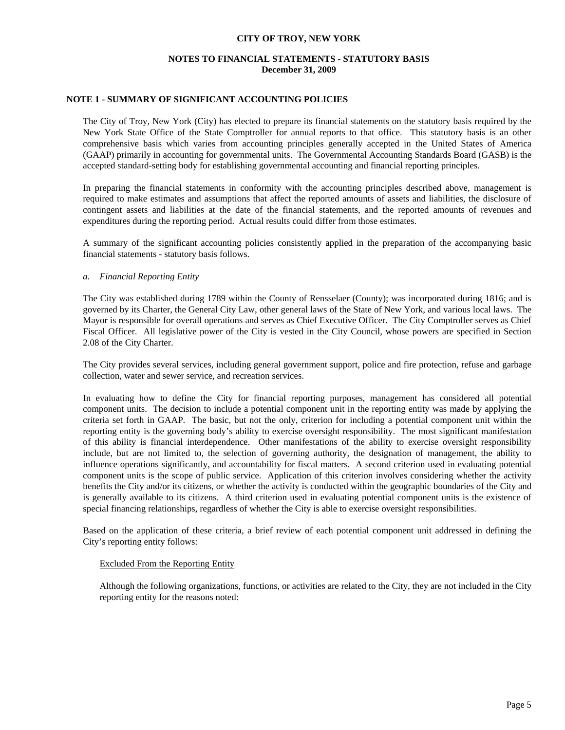# **NOTES TO FINANCIAL STATEMENTS - STATUTORY BASIS December 31, 2009**

### **NOTE 1 - SUMMARY OF SIGNIFICANT ACCOUNTING POLICIES**

 The City of Troy, New York (City) has elected to prepare its financial statements on the statutory basis required by the New York State Office of the State Comptroller for annual reports to that office. This statutory basis is an other comprehensive basis which varies from accounting principles generally accepted in the United States of America (GAAP) primarily in accounting for governmental units. The Governmental Accounting Standards Board (GASB) is the accepted standard-setting body for establishing governmental accounting and financial reporting principles.

 In preparing the financial statements in conformity with the accounting principles described above, management is required to make estimates and assumptions that affect the reported amounts of assets and liabilities, the disclosure of contingent assets and liabilities at the date of the financial statements, and the reported amounts of revenues and expenditures during the reporting period. Actual results could differ from those estimates.

 A summary of the significant accounting policies consistently applied in the preparation of the accompanying basic financial statements - statutory basis follows.

#### *a. Financial Reporting Entity*

 The City was established during 1789 within the County of Rensselaer (County); was incorporated during 1816; and is governed by its Charter, the General City Law, other general laws of the State of New York, and various local laws. The Mayor is responsible for overall operations and serves as Chief Executive Officer. The City Comptroller serves as Chief Fiscal Officer. All legislative power of the City is vested in the City Council, whose powers are specified in Section 2.08 of the City Charter.

 The City provides several services, including general government support, police and fire protection, refuse and garbage collection, water and sewer service, and recreation services.

 In evaluating how to define the City for financial reporting purposes, management has considered all potential component units. The decision to include a potential component unit in the reporting entity was made by applying the criteria set forth in GAAP. The basic, but not the only, criterion for including a potential component unit within the reporting entity is the governing body's ability to exercise oversight responsibility. The most significant manifestation of this ability is financial interdependence. Other manifestations of the ability to exercise oversight responsibility include, but are not limited to, the selection of governing authority, the designation of management, the ability to influence operations significantly, and accountability for fiscal matters. A second criterion used in evaluating potential component units is the scope of public service. Application of this criterion involves considering whether the activity benefits the City and/or its citizens, or whether the activity is conducted within the geographic boundaries of the City and is generally available to its citizens. A third criterion used in evaluating potential component units is the existence of special financing relationships, regardless of whether the City is able to exercise oversight responsibilities.

 Based on the application of these criteria, a brief review of each potential component unit addressed in defining the City's reporting entity follows:

#### Excluded From the Reporting Entity

 Although the following organizations, functions, or activities are related to the City, they are not included in the City reporting entity for the reasons noted: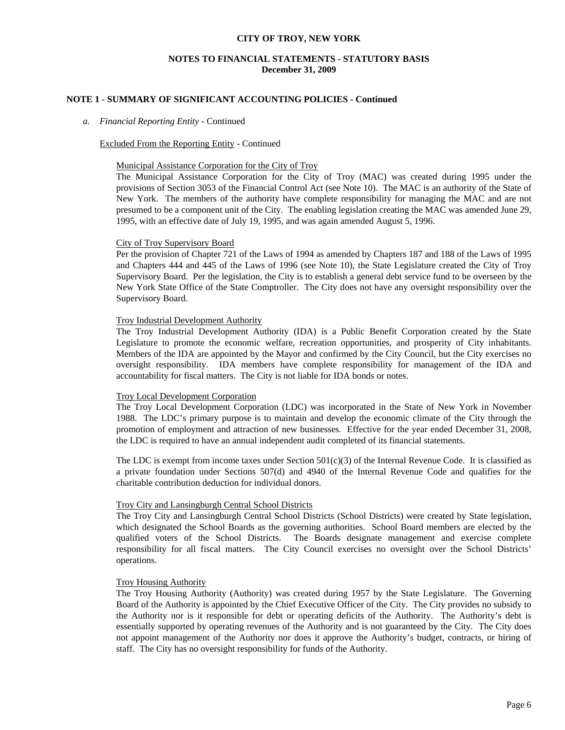### **NOTES TO FINANCIAL STATEMENTS - STATUTORY BASIS December 31, 2009**

### **NOTE 1 - SUMMARY OF SIGNIFICANT ACCOUNTING POLICIES - Continued**

#### *a. Financial Reporting Entity* - Continued

#### Excluded From the Reporting Entity - Continued

#### Municipal Assistance Corporation for the City of Troy

 The Municipal Assistance Corporation for the City of Troy (MAC) was created during 1995 under the provisions of Section 3053 of the Financial Control Act (see Note 10). The MAC is an authority of the State of New York. The members of the authority have complete responsibility for managing the MAC and are not presumed to be a component unit of the City. The enabling legislation creating the MAC was amended June 29, 1995, with an effective date of July 19, 1995, and was again amended August 5, 1996.

### City of Troy Supervisory Board

 Per the provision of Chapter 721 of the Laws of 1994 as amended by Chapters 187 and 188 of the Laws of 1995 and Chapters 444 and 445 of the Laws of 1996 (see Note 10), the State Legislature created the City of Troy Supervisory Board. Per the legislation, the City is to establish a general debt service fund to be overseen by the New York State Office of the State Comptroller. The City does not have any oversight responsibility over the Supervisory Board.

#### Troy Industrial Development Authority

 The Troy Industrial Development Authority (IDA) is a Public Benefit Corporation created by the State Legislature to promote the economic welfare, recreation opportunities, and prosperity of City inhabitants. Members of the IDA are appointed by the Mayor and confirmed by the City Council, but the City exercises no oversight responsibility. IDA members have complete responsibility for management of the IDA and accountability for fiscal matters. The City is not liable for IDA bonds or notes.

#### Troy Local Development Corporation

 The Troy Local Development Corporation (LDC) was incorporated in the State of New York in November 1988. The LDC's primary purpose is to maintain and develop the economic climate of the City through the promotion of employment and attraction of new businesses. Effective for the year ended December 31, 2008, the LDC is required to have an annual independent audit completed of its financial statements.

The LDC is exempt from income taxes under Section  $501(c)(3)$  of the Internal Revenue Code. It is classified as a private foundation under Sections 507(d) and 4940 of the Internal Revenue Code and qualifies for the charitable contribution deduction for individual donors.

### Troy City and Lansingburgh Central School Districts

 The Troy City and Lansingburgh Central School Districts (School Districts) were created by State legislation, which designated the School Boards as the governing authorities. School Board members are elected by the qualified voters of the School Districts. The Boards designate management and exercise complete responsibility for all fiscal matters. The City Council exercises no oversight over the School Districts' operations.

#### Troy Housing Authority

 The Troy Housing Authority (Authority) was created during 1957 by the State Legislature. The Governing Board of the Authority is appointed by the Chief Executive Officer of the City. The City provides no subsidy to the Authority nor is it responsible for debt or operating deficits of the Authority. The Authority's debt is essentially supported by operating revenues of the Authority and is not guaranteed by the City. The City does not appoint management of the Authority nor does it approve the Authority's budget, contracts, or hiring of staff. The City has no oversight responsibility for funds of the Authority.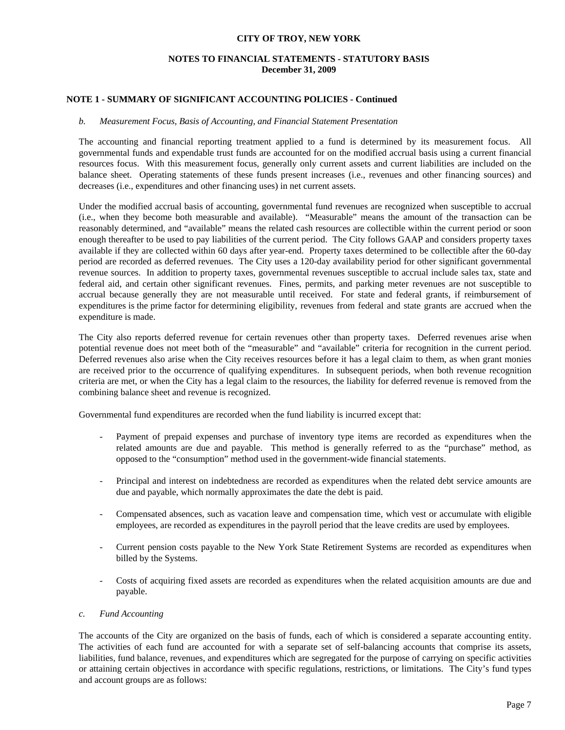# **NOTES TO FINANCIAL STATEMENTS - STATUTORY BASIS December 31, 2009**

## **NOTE 1 - SUMMARY OF SIGNIFICANT ACCOUNTING POLICIES - Continued**

#### *b. Measurement Focus, Basis of Accounting, and Financial Statement Presentation*

 The accounting and financial reporting treatment applied to a fund is determined by its measurement focus. All governmental funds and expendable trust funds are accounted for on the modified accrual basis using a current financial resources focus. With this measurement focus, generally only current assets and current liabilities are included on the balance sheet. Operating statements of these funds present increases (i.e., revenues and other financing sources) and decreases (i.e., expenditures and other financing uses) in net current assets.

Under the modified accrual basis of accounting, governmental fund revenues are recognized when susceptible to accrual (i.e., when they become both measurable and available). "Measurable" means the amount of the transaction can be reasonably determined, and "available" means the related cash resources are collectible within the current period or soon enough thereafter to be used to pay liabilities of the current period. The City follows GAAP and considers property taxes available if they are collected within 60 days after year-end. Property taxes determined to be collectible after the 60-day period are recorded as deferred revenues. The City uses a 120-day availability period for other significant governmental revenue sources. In addition to property taxes, governmental revenues susceptible to accrual include sales tax, state and federal aid, and certain other significant revenues. Fines, permits, and parking meter revenues are not susceptible to accrual because generally they are not measurable until received. For state and federal grants, if reimbursement of expenditures is the prime factor for determining eligibility, revenues from federal and state grants are accrued when the expenditure is made.

 The City also reports deferred revenue for certain revenues other than property taxes. Deferred revenues arise when potential revenue does not meet both of the "measurable" and "available" criteria for recognition in the current period. Deferred revenues also arise when the City receives resources before it has a legal claim to them, as when grant monies are received prior to the occurrence of qualifying expenditures. In subsequent periods, when both revenue recognition criteria are met, or when the City has a legal claim to the resources, the liability for deferred revenue is removed from the combining balance sheet and revenue is recognized.

Governmental fund expenditures are recorded when the fund liability is incurred except that:

- Payment of prepaid expenses and purchase of inventory type items are recorded as expenditures when the related amounts are due and payable. This method is generally referred to as the "purchase" method, as opposed to the "consumption" method used in the government-wide financial statements.
- Principal and interest on indebtedness are recorded as expenditures when the related debt service amounts are due and payable, which normally approximates the date the debt is paid.
- Compensated absences, such as vacation leave and compensation time, which vest or accumulate with eligible employees, are recorded as expenditures in the payroll period that the leave credits are used by employees.
- Current pension costs payable to the New York State Retirement Systems are recorded as expenditures when billed by the Systems.
- Costs of acquiring fixed assets are recorded as expenditures when the related acquisition amounts are due and payable.

### *c. Fund Accounting*

 The accounts of the City are organized on the basis of funds, each of which is considered a separate accounting entity. The activities of each fund are accounted for with a separate set of self-balancing accounts that comprise its assets, liabilities, fund balance, revenues, and expenditures which are segregated for the purpose of carrying on specific activities or attaining certain objectives in accordance with specific regulations, restrictions, or limitations. The City's fund types and account groups are as follows: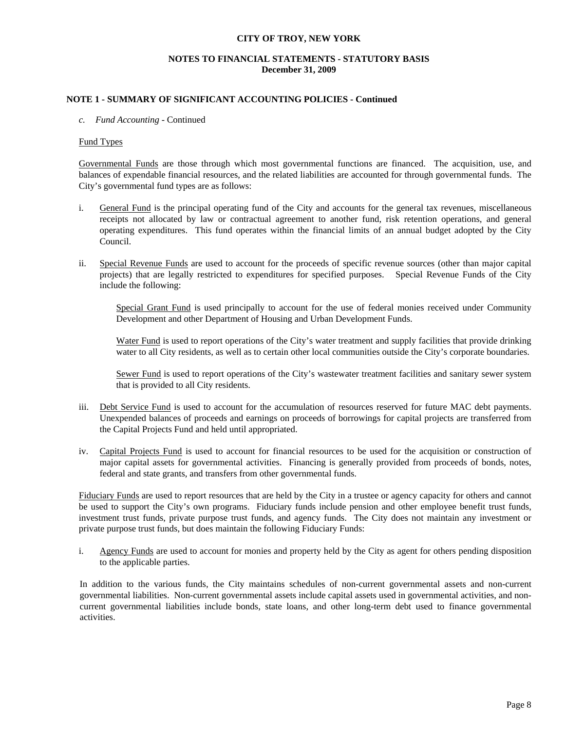## **NOTES TO FINANCIAL STATEMENTS - STATUTORY BASIS December 31, 2009**

### **NOTE 1 - SUMMARY OF SIGNIFICANT ACCOUNTING POLICIES - Continued**

#### *c. Fund Accounting* - Continued

#### Fund Types

 Governmental Funds are those through which most governmental functions are financed. The acquisition, use, and balances of expendable financial resources, and the related liabilities are accounted for through governmental funds. The City's governmental fund types are as follows:

- i. General Fund is the principal operating fund of the City and accounts for the general tax revenues, miscellaneous receipts not allocated by law or contractual agreement to another fund, risk retention operations, and general operating expenditures. This fund operates within the financial limits of an annual budget adopted by the City Council.
- ii. Special Revenue Funds are used to account for the proceeds of specific revenue sources (other than major capital projects) that are legally restricted to expenditures for specified purposes. Special Revenue Funds of the City include the following:

 Special Grant Fund is used principally to account for the use of federal monies received under Community Development and other Department of Housing and Urban Development Funds.

 Water Fund is used to report operations of the City's water treatment and supply facilities that provide drinking water to all City residents, as well as to certain other local communities outside the City's corporate boundaries.

Sewer Fund is used to report operations of the City's wastewater treatment facilities and sanitary sewer system that is provided to all City residents.

- iii. Debt Service Fund is used to account for the accumulation of resources reserved for future MAC debt payments. Unexpended balances of proceeds and earnings on proceeds of borrowings for capital projects are transferred from the Capital Projects Fund and held until appropriated.
- iv. Capital Projects Fund is used to account for financial resources to be used for the acquisition or construction of major capital assets for governmental activities. Financing is generally provided from proceeds of bonds, notes, federal and state grants, and transfers from other governmental funds.

Fiduciary Funds are used to report resources that are held by the City in a trustee or agency capacity for others and cannot be used to support the City's own programs. Fiduciary funds include pension and other employee benefit trust funds, investment trust funds, private purpose trust funds, and agency funds. The City does not maintain any investment or private purpose trust funds, but does maintain the following Fiduciary Funds:

i. Agency Funds are used to account for monies and property held by the City as agent for others pending disposition to the applicable parties.

 In addition to the various funds, the City maintains schedules of non-current governmental assets and non-current governmental liabilities. Non-current governmental assets include capital assets used in governmental activities, and noncurrent governmental liabilities include bonds, state loans, and other long-term debt used to finance governmental activities.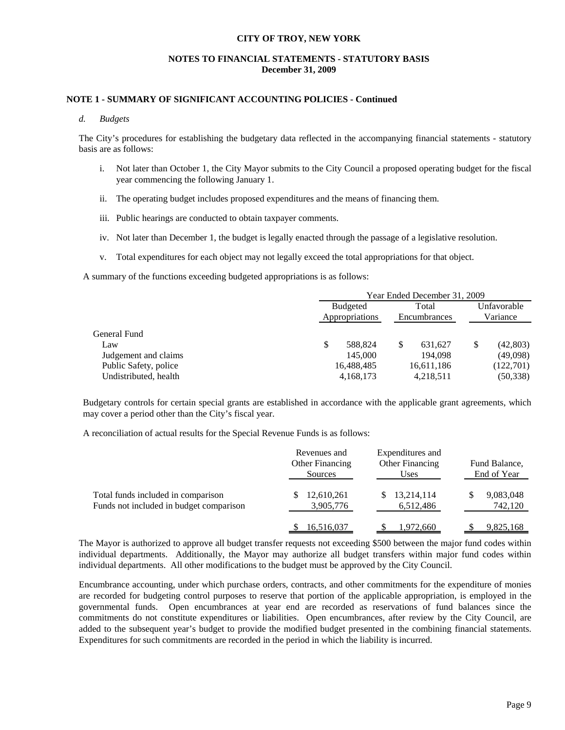# **NOTES TO FINANCIAL STATEMENTS - STATUTORY BASIS December 31, 2009**

### **NOTE 1 - SUMMARY OF SIGNIFICANT ACCOUNTING POLICIES - Continued**

#### *d. Budgets*

 The City's procedures for establishing the budgetary data reflected in the accompanying financial statements - statutory basis are as follows:

- i. Not later than October 1, the City Mayor submits to the City Council a proposed operating budget for the fiscal year commencing the following January 1.
- ii. The operating budget includes proposed expenditures and the means of financing them.
- iii. Public hearings are conducted to obtain taxpayer comments.
- iv. Not later than December 1, the budget is legally enacted through the passage of a legislative resolution.
- v. Total expenditures for each object may not legally exceed the total appropriations for that object.

A summary of the functions exceeding budgeted appropriations is as follows:

|                       |                 | Year Ended December 31, 2009 |                         |  |  |  |  |  |  |
|-----------------------|-----------------|------------------------------|-------------------------|--|--|--|--|--|--|
|                       | <b>Budgeted</b> | Total                        | Unfavorable<br>Variance |  |  |  |  |  |  |
|                       | Appropriations  | Encumbrances                 |                         |  |  |  |  |  |  |
| General Fund          |                 |                              |                         |  |  |  |  |  |  |
| Law                   | S<br>588.824    | \$<br>631,627                | (42, 803)               |  |  |  |  |  |  |
| Judgement and claims  | 145,000         | 194.098                      | (49,098)                |  |  |  |  |  |  |
| Public Safety, police | 16,488,485      | 16,611,186                   | (122,701)               |  |  |  |  |  |  |
| Undistributed, health | 4,168,173       | 4,218,511                    | (50, 338)               |  |  |  |  |  |  |

Budgetary controls for certain special grants are established in accordance with the applicable grant agreements, which may cover a period other than the City's fiscal year.

A reconciliation of actual results for the Special Revenue Funds is as follows:

|                                                                               | Revenues and<br><b>Other Financing</b><br>Sources | Expenditures and<br>Other Financing<br>Uses | Fund Balance,<br>End of Year |  |  |
|-------------------------------------------------------------------------------|---------------------------------------------------|---------------------------------------------|------------------------------|--|--|
| Total funds included in comparison<br>Funds not included in budget comparison | 12,610,261<br>3,905,776                           | 13,214,114<br>6,512,486                     | 9,083,048<br>742,120         |  |  |
|                                                                               | 16,516,037                                        | 1,972,660                                   | 9,825,168                    |  |  |

 The Mayor is authorized to approve all budget transfer requests not exceeding \$500 between the major fund codes within individual departments. Additionally, the Mayor may authorize all budget transfers within major fund codes within individual departments. All other modifications to the budget must be approved by the City Council.

 Encumbrance accounting, under which purchase orders, contracts, and other commitments for the expenditure of monies are recorded for budgeting control purposes to reserve that portion of the applicable appropriation, is employed in the governmental funds. Open encumbrances at year end are recorded as reservations of fund balances since the commitments do not constitute expenditures or liabilities. Open encumbrances, after review by the City Council, are added to the subsequent year's budget to provide the modified budget presented in the combining financial statements. Expenditures for such commitments are recorded in the period in which the liability is incurred.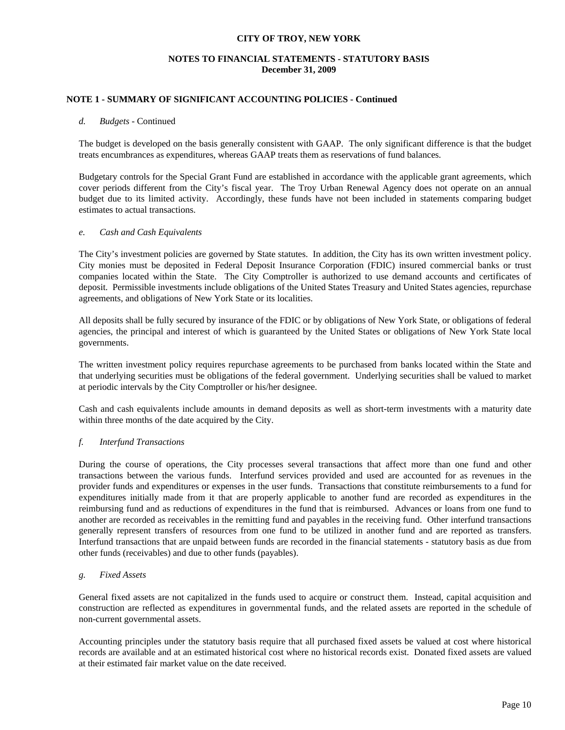# **NOTES TO FINANCIAL STATEMENTS - STATUTORY BASIS December 31, 2009**

### **NOTE 1 - SUMMARY OF SIGNIFICANT ACCOUNTING POLICIES - Continued**

#### *d. Budgets* - Continued

 The budget is developed on the basis generally consistent with GAAP. The only significant difference is that the budget treats encumbrances as expenditures, whereas GAAP treats them as reservations of fund balances.

 Budgetary controls for the Special Grant Fund are established in accordance with the applicable grant agreements, which cover periods different from the City's fiscal year. The Troy Urban Renewal Agency does not operate on an annual budget due to its limited activity. Accordingly, these funds have not been included in statements comparing budget estimates to actual transactions.

#### *e. Cash and Cash Equivalents*

 The City's investment policies are governed by State statutes. In addition, the City has its own written investment policy. City monies must be deposited in Federal Deposit Insurance Corporation (FDIC) insured commercial banks or trust companies located within the State. The City Comptroller is authorized to use demand accounts and certificates of deposit. Permissible investments include obligations of the United States Treasury and United States agencies, repurchase agreements, and obligations of New York State or its localities.

 All deposits shall be fully secured by insurance of the FDIC or by obligations of New York State, or obligations of federal agencies, the principal and interest of which is guaranteed by the United States or obligations of New York State local governments.

 The written investment policy requires repurchase agreements to be purchased from banks located within the State and that underlying securities must be obligations of the federal government. Underlying securities shall be valued to market at periodic intervals by the City Comptroller or his/her designee.

 Cash and cash equivalents include amounts in demand deposits as well as short-term investments with a maturity date within three months of the date acquired by the City.

#### *f. Interfund Transactions*

 During the course of operations, the City processes several transactions that affect more than one fund and other transactions between the various funds. Interfund services provided and used are accounted for as revenues in the provider funds and expenditures or expenses in the user funds. Transactions that constitute reimbursements to a fund for expenditures initially made from it that are properly applicable to another fund are recorded as expenditures in the reimbursing fund and as reductions of expenditures in the fund that is reimbursed. Advances or loans from one fund to another are recorded as receivables in the remitting fund and payables in the receiving fund. Other interfund transactions generally represent transfers of resources from one fund to be utilized in another fund and are reported as transfers. Interfund transactions that are unpaid between funds are recorded in the financial statements - statutory basis as due from other funds (receivables) and due to other funds (payables).

#### *g. Fixed Assets*

 General fixed assets are not capitalized in the funds used to acquire or construct them. Instead, capital acquisition and construction are reflected as expenditures in governmental funds, and the related assets are reported in the schedule of non-current governmental assets.

 Accounting principles under the statutory basis require that all purchased fixed assets be valued at cost where historical records are available and at an estimated historical cost where no historical records exist. Donated fixed assets are valued at their estimated fair market value on the date received.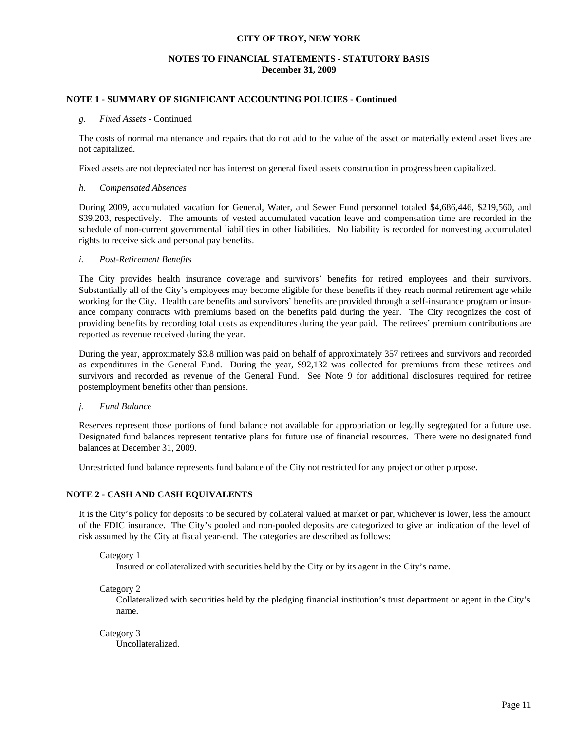## **NOTES TO FINANCIAL STATEMENTS - STATUTORY BASIS December 31, 2009**

## **NOTE 1 - SUMMARY OF SIGNIFICANT ACCOUNTING POLICIES - Continued**

#### *g. Fixed Assets* - Continued

 The costs of normal maintenance and repairs that do not add to the value of the asset or materially extend asset lives are not capitalized.

Fixed assets are not depreciated nor has interest on general fixed assets construction in progress been capitalized.

#### *h. Compensated Absences*

 During 2009, accumulated vacation for General, Water, and Sewer Fund personnel totaled \$4,686,446, \$219,560, and \$39,203, respectively. The amounts of vested accumulated vacation leave and compensation time are recorded in the schedule of non-current governmental liabilities in other liabilities. No liability is recorded for nonvesting accumulated rights to receive sick and personal pay benefits.

#### *i. Post-Retirement Benefits*

 The City provides health insurance coverage and survivors' benefits for retired employees and their survivors. Substantially all of the City's employees may become eligible for these benefits if they reach normal retirement age while working for the City. Health care benefits and survivors' benefits are provided through a self-insurance program or insurance company contracts with premiums based on the benefits paid during the year. The City recognizes the cost of providing benefits by recording total costs as expenditures during the year paid. The retirees' premium contributions are reported as revenue received during the year.

 During the year, approximately \$3.8 million was paid on behalf of approximately 357 retirees and survivors and recorded as expenditures in the General Fund. During the year, \$92,132 was collected for premiums from these retirees and survivors and recorded as revenue of the General Fund. See Note 9 for additional disclosures required for retiree postemployment benefits other than pensions.

#### *j. Fund Balance*

 Reserves represent those portions of fund balance not available for appropriation or legally segregated for a future use. Designated fund balances represent tentative plans for future use of financial resources. There were no designated fund balances at December 31, 2009.

Unrestricted fund balance represents fund balance of the City not restricted for any project or other purpose.

#### **NOTE 2 - CASH AND CASH EQUIVALENTS**

 It is the City's policy for deposits to be secured by collateral valued at market or par, whichever is lower, less the amount of the FDIC insurance. The City's pooled and non-pooled deposits are categorized to give an indication of the level of risk assumed by the City at fiscal year-end. The categories are described as follows:

Category 1

Insured or collateralized with securities held by the City or by its agent in the City's name.

Category 2

 Collateralized with securities held by the pledging financial institution's trust department or agent in the City's name.

Category 3 Uncollateralized.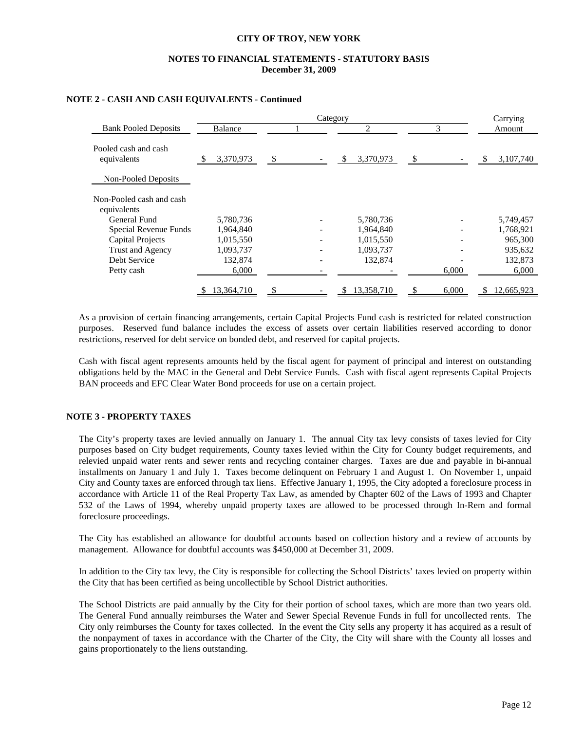# **NOTES TO FINANCIAL STATEMENTS - STATUTORY BASIS December 31, 2009**

|                                         |                 | Category | Carrying        |             |                   |  |  |
|-----------------------------------------|-----------------|----------|-----------------|-------------|-------------------|--|--|
| <b>Bank Pooled Deposits</b>             | <b>Balance</b>  |          | 2               | 3           | Amount            |  |  |
| Pooled cash and cash<br>equivalents     | 3,370,973<br>-S | \$       | 3,370,973<br>\$ | - \$        | 3,107,740         |  |  |
| Non-Pooled Deposits                     |                 |          |                 |             |                   |  |  |
| Non-Pooled cash and cash<br>equivalents |                 |          |                 |             |                   |  |  |
| General Fund                            | 5,780,736       |          | 5,780,736       |             | 5,749,457         |  |  |
| Special Revenue Funds                   | 1,964,840       |          | 1,964,840       |             | 1,768,921         |  |  |
| <b>Capital Projects</b>                 | 1,015,550       |          | 1,015,550       |             | 965,300           |  |  |
| <b>Trust and Agency</b>                 | 1,093,737       |          | 1,093,737       |             | 935,632           |  |  |
| Debt Service                            | 132,874         |          | 132,874         |             | 132,873           |  |  |
| Petty cash                              | 6,000           |          |                 | 6,000       | 6,000             |  |  |
|                                         | 13,364,710      |          | 13,358,710      | 6,000<br>S. | 12,665,923<br>SS. |  |  |

## **NOTE 2 - CASH AND CASH EQUIVALENTS - Continued**

 As a provision of certain financing arrangements, certain Capital Projects Fund cash is restricted for related construction purposes. Reserved fund balance includes the excess of assets over certain liabilities reserved according to donor restrictions, reserved for debt service on bonded debt, and reserved for capital projects.

 Cash with fiscal agent represents amounts held by the fiscal agent for payment of principal and interest on outstanding obligations held by the MAC in the General and Debt Service Funds. Cash with fiscal agent represents Capital Projects BAN proceeds and EFC Clear Water Bond proceeds for use on a certain project.

### **NOTE 3 - PROPERTY TAXES**

 The City's property taxes are levied annually on January 1. The annual City tax levy consists of taxes levied for City purposes based on City budget requirements, County taxes levied within the City for County budget requirements, and relevied unpaid water rents and sewer rents and recycling container charges. Taxes are due and payable in bi-annual installments on January 1 and July 1. Taxes become delinquent on February 1 and August 1. On November 1, unpaid City and County taxes are enforced through tax liens. Effective January 1, 1995, the City adopted a foreclosure process in accordance with Article 11 of the Real Property Tax Law, as amended by Chapter 602 of the Laws of 1993 and Chapter 532 of the Laws of 1994, whereby unpaid property taxes are allowed to be processed through In-Rem and formal foreclosure proceedings.

 The City has established an allowance for doubtful accounts based on collection history and a review of accounts by management. Allowance for doubtful accounts was \$450,000 at December 31, 2009.

 In addition to the City tax levy, the City is responsible for collecting the School Districts' taxes levied on property within the City that has been certified as being uncollectible by School District authorities.

 The School Districts are paid annually by the City for their portion of school taxes, which are more than two years old. The General Fund annually reimburses the Water and Sewer Special Revenue Funds in full for uncollected rents. The City only reimburses the County for taxes collected. In the event the City sells any property it has acquired as a result of the nonpayment of taxes in accordance with the Charter of the City, the City will share with the County all losses and gains proportionately to the liens outstanding.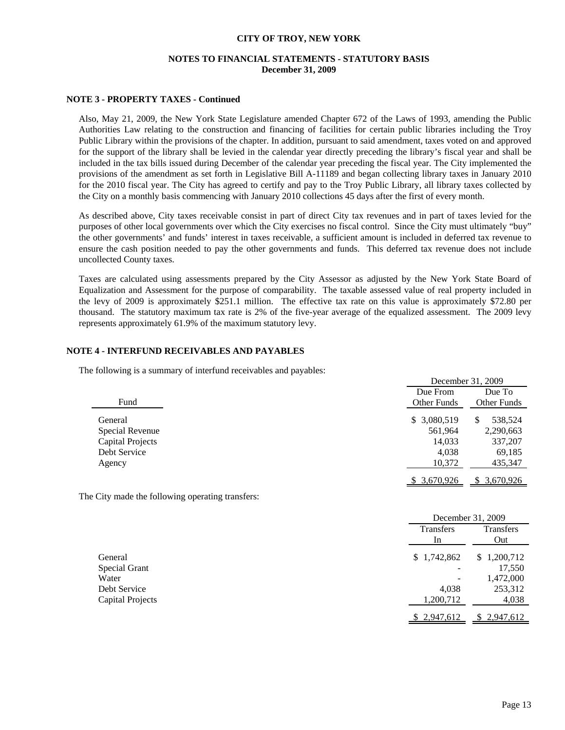# **NOTES TO FINANCIAL STATEMENTS - STATUTORY BASIS December 31, 2009**

### **NOTE 3 - PROPERTY TAXES - Continued**

Also, May 21, 2009, the New York State Legislature amended Chapter 672 of the Laws of 1993, amending the Public Authorities Law relating to the construction and financing of facilities for certain public libraries including the Troy Public Library within the provisions of the chapter. In addition, pursuant to said amendment, taxes voted on and approved for the support of the library shall be levied in the calendar year directly preceding the library's fiscal year and shall be included in the tax bills issued during December of the calendar year preceding the fiscal year. The City implemented the provisions of the amendment as set forth in Legislative Bill A-11189 and began collecting library taxes in January 2010 for the 2010 fiscal year. The City has agreed to certify and pay to the Troy Public Library, all library taxes collected by the City on a monthly basis commencing with January 2010 collections 45 days after the first of every month.

 As described above, City taxes receivable consist in part of direct City tax revenues and in part of taxes levied for the purposes of other local governments over which the City exercises no fiscal control. Since the City must ultimately "buy" the other governments' and funds' interest in taxes receivable, a sufficient amount is included in deferred tax revenue to ensure the cash position needed to pay the other governments and funds. This deferred tax revenue does not include uncollected County taxes.

 Taxes are calculated using assessments prepared by the City Assessor as adjusted by the New York State Board of Equalization and Assessment for the purpose of comparability. The taxable assessed value of real property included in the levy of 2009 is approximately \$251.1 million. The effective tax rate on this value is approximately \$72.80 per thousand. The statutory maximum tax rate is 2% of the five-year average of the equalized assessment. The 2009 levy represents approximately 61.9% of the maximum statutory levy.

### **NOTE 4 - INTERFUND RECEIVABLES AND PAYABLES**

The following is a summary of interfund receivables and payables:

|                         | December 31, 2009  |               |
|-------------------------|--------------------|---------------|
|                         | Due From           | Due To        |
| Fund                    | <b>Other Funds</b> | Other Funds   |
| General                 | \$ 3,080,519       | 538,524<br>\$ |
| Special Revenue         | 561,964            | 2,290,663     |
| <b>Capital Projects</b> | 14,033             | 337,207       |
| Debt Service            | 4.038              | 69,185        |
| Agency                  | 10,372             | 435,347       |
|                         | 3,670,926          | 3,670,926     |

The City made the following operating transfers:

|                      |                            | December 31, 2009 |
|----------------------|----------------------------|-------------------|
|                      | Transfers<br><sub>In</sub> | Transfers<br>Out  |
| General              | \$1,742,862                | 1,200,712<br>\$   |
| <b>Special Grant</b> |                            | 17,550            |
| Water                |                            | 1,472,000         |
| Debt Service         | 4,038                      | 253,312           |
| Capital Projects     | 1,200,712                  | 4,038             |
|                      | \$2,947,612                | \$2,947,612       |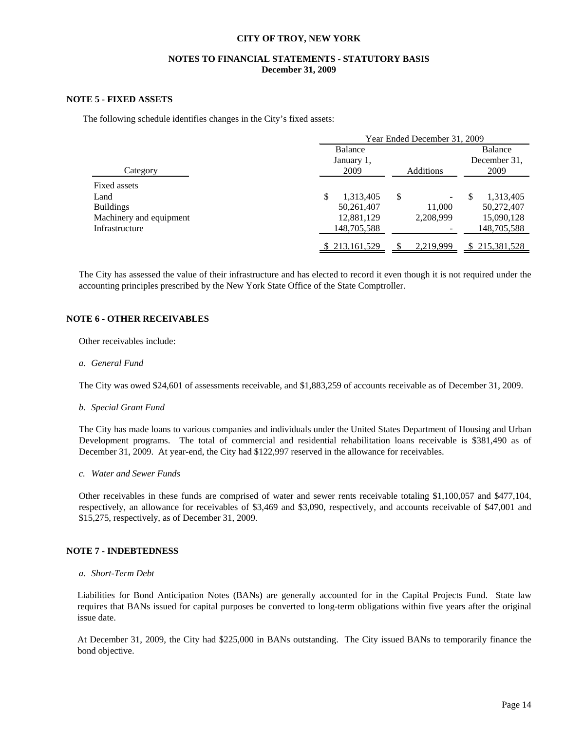## **NOTES TO FINANCIAL STATEMENTS - STATUTORY BASIS December 31, 2009**

#### **NOTE 5 - FIXED ASSETS**

The following schedule identifies changes in the City's fixed assets:

|                         | Year Ended December 31, 2009 |                  |                       |  |  |  |  |  |
|-------------------------|------------------------------|------------------|-----------------------|--|--|--|--|--|
|                         | Balance                      |                  | Balance               |  |  |  |  |  |
|                         | January 1,                   |                  | December 31,          |  |  |  |  |  |
| Category                | 2009                         | <b>Additions</b> | 2009                  |  |  |  |  |  |
| Fixed assets            |                              |                  |                       |  |  |  |  |  |
| Land                    | \$<br>1,313,405              | \$<br>-          | 1,313,405<br><b>S</b> |  |  |  |  |  |
| <b>Buildings</b>        | 50,261,407                   | 11,000           | 50,272,407            |  |  |  |  |  |
| Machinery and equipment | 12,881,129                   | 2,208,999        | 15,090,128            |  |  |  |  |  |
| Infrastructure          | 148,705,588                  |                  | 148,705,588           |  |  |  |  |  |
|                         | \$213,161,529                | 2.219.999        | \$215,381,528         |  |  |  |  |  |

The City has assessed the value of their infrastructure and has elected to record it even though it is not required under the accounting principles prescribed by the New York State Office of the State Comptroller.

### **NOTE 6 - OTHER RECEIVABLES**

Other receivables include:

*a. General Fund* 

The City was owed \$24,601 of assessments receivable, and \$1,883,259 of accounts receivable as of December 31, 2009.

*b. Special Grant Fund* 

 The City has made loans to various companies and individuals under the United States Department of Housing and Urban Development programs. The total of commercial and residential rehabilitation loans receivable is \$381,490 as of December 31, 2009. At year-end, the City had \$122,997 reserved in the allowance for receivables.

*c. Water and Sewer Funds* 

Other receivables in these funds are comprised of water and sewer rents receivable totaling \$1,100,057 and \$477,104, respectively, an allowance for receivables of \$3,469 and \$3,090, respectively, and accounts receivable of \$47,001 and \$15,275, respectively, as of December 31, 2009.

#### **NOTE 7 - INDEBTEDNESS**

*a. Short-Term Debt*

 Liabilities for Bond Anticipation Notes (BANs) are generally accounted for in the Capital Projects Fund. State law requires that BANs issued for capital purposes be converted to long-term obligations within five years after the original issue date.

 At December 31, 2009, the City had \$225,000 in BANs outstanding. The City issued BANs to temporarily finance the bond objective.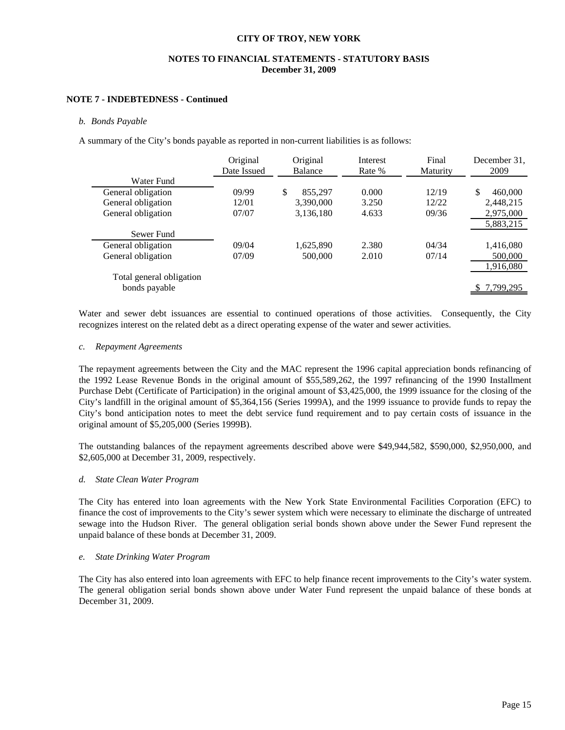# **NOTES TO FINANCIAL STATEMENTS - STATUTORY BASIS December 31, 2009**

### **NOTE 7 - INDEBTEDNESS - Continued**

#### *b. Bonds Payable*

A summary of the City's bonds payable as reported in non-current liabilities is as follows:

|                          | Original<br>Date Issued | Original<br><b>Balance</b> | Interest<br>Rate % | Final<br>Maturity | December 31.<br>2009 |
|--------------------------|-------------------------|----------------------------|--------------------|-------------------|----------------------|
| Water Fund               |                         |                            |                    |                   |                      |
| General obligation       | 09/99                   | 855.297<br>\$              | 0.000              | 12/19             | \$.<br>460,000       |
| General obligation       | 12/01                   | 3.390.000                  | 3.250              | 12/22             | 2.448.215            |
| General obligation       | 07/07                   | 3,136,180                  | 4.633              | 09/36             | 2,975,000            |
|                          |                         |                            |                    |                   | 5,883,215            |
| Sewer Fund               |                         |                            |                    |                   |                      |
| General obligation       | 09/04                   | 1,625,890                  | 2.380              | 04/34             | 1,416,080            |
| General obligation       | 07/09                   | 500,000                    | 2.010              | 07/14             | 500,000              |
|                          |                         |                            |                    |                   | 1,916,080            |
| Total general obligation |                         |                            |                    |                   |                      |
| bonds payable            |                         |                            |                    |                   | 7,799,295            |

Water and sewer debt issuances are essential to continued operations of those activities. Consequently, the City recognizes interest on the related debt as a direct operating expense of the water and sewer activities.

#### *c. Repayment Agreements*

The repayment agreements between the City and the MAC represent the 1996 capital appreciation bonds refinancing of the 1992 Lease Revenue Bonds in the original amount of \$55,589,262, the 1997 refinancing of the 1990 Installment Purchase Debt (Certificate of Participation) in the original amount of \$3,425,000, the 1999 issuance for the closing of the City's landfill in the original amount of \$5,364,156 (Series 1999A), and the 1999 issuance to provide funds to repay the City's bond anticipation notes to meet the debt service fund requirement and to pay certain costs of issuance in the original amount of \$5,205,000 (Series 1999B).

 The outstanding balances of the repayment agreements described above were \$49,944,582, \$590,000, \$2,950,000, and \$2,605,000 at December 31, 2009, respectively.

#### *d. State Clean Water Program*

The City has entered into loan agreements with the New York State Environmental Facilities Corporation (EFC) to finance the cost of improvements to the City's sewer system which were necessary to eliminate the discharge of untreated sewage into the Hudson River. The general obligation serial bonds shown above under the Sewer Fund represent the unpaid balance of these bonds at December 31, 2009.

#### *e. State Drinking Water Program*

The City has also entered into loan agreements with EFC to help finance recent improvements to the City's water system. The general obligation serial bonds shown above under Water Fund represent the unpaid balance of these bonds at December 31, 2009.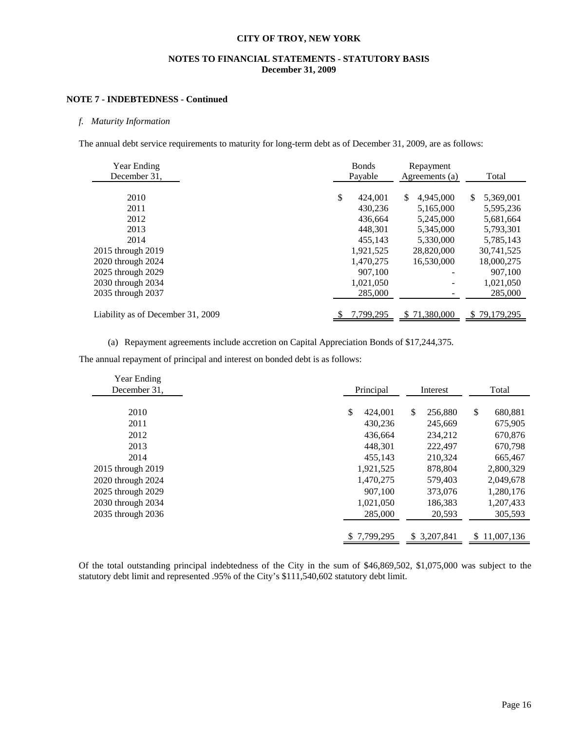# **NOTES TO FINANCIAL STATEMENTS - STATUTORY BASIS December 31, 2009**

# **NOTE 7 - INDEBTEDNESS - Continued**

### *f. Maturity Information*

The annual debt service requirements to maturity for long-term debt as of December 31, 2009, are as follows:

| Year Ending<br>December 31.       | <b>Bonds</b><br>Payable | Repayment<br>Agreements (a) | Total             |  |
|-----------------------------------|-------------------------|-----------------------------|-------------------|--|
|                                   |                         |                             |                   |  |
| 2010                              | S<br>424,001            | \$<br>4.945,000             | 5,369,001<br>S.   |  |
| 2011                              | 430.236                 | 5,165,000                   | 5,595,236         |  |
| 2012                              | 436,664                 | 5,245,000                   | 5,681,664         |  |
| 2013                              | 448.301                 | 5,345,000                   | 5,793,301         |  |
| 2014                              | 455,143                 | 5,330,000                   | 5,785,143         |  |
| 2015 through 2019                 | 1,921,525               | 28,820,000                  | 30,741,525        |  |
| 2020 through 2024                 | 1,470,275               | 16.530,000                  | 18,000,275        |  |
| 2025 through 2029                 | 907,100                 |                             | 907,100           |  |
| 2030 through 2034                 | 1,021,050               |                             | 1,021,050         |  |
| 2035 through 2037                 | 285,000                 |                             | 285,000           |  |
|                                   |                         |                             |                   |  |
| Liability as of December 31, 2009 | 7,799,295               | \$71,380,000                | 79,179,295<br>\$. |  |

(a) Repayment agreements include accretion on Capital Appreciation Bonds of \$17,244,375.

The annual repayment of principal and interest on bonded debt is as follows:

| Year Ending       |                       |               |               |  |
|-------------------|-----------------------|---------------|---------------|--|
| December 31.      | Principal<br>Interest |               | Total         |  |
|                   |                       |               |               |  |
| 2010              | \$<br>424,001         | \$<br>256,880 | \$<br>680,881 |  |
| 2011              | 430.236               | 245,669       | 675,905       |  |
| 2012              | 436,664               | 234,212       | 670,876       |  |
| 2013              | 448.301               | 222.497       | 670,798       |  |
| 2014              | 455.143               | 210.324       | 665,467       |  |
| 2015 through 2019 | 1,921,525             | 878,804       | 2,800,329     |  |
| 2020 through 2024 | 1,470,275             | 579.403       | 2,049,678     |  |
| 2025 through 2029 | 907.100               | 373,076       | 1,280,176     |  |
| 2030 through 2034 | 1,021,050             | 186,383       | 1,207,433     |  |
| 2035 through 2036 | 285,000               | 20,593        | 305,593       |  |
|                   |                       |               |               |  |
|                   | \$7,799,295           | \$ 3,207,841  | \$11,007,136  |  |

Of the total outstanding principal indebtedness of the City in the sum of \$46,869,502, \$1,075,000 was subject to the statutory debt limit and represented .95% of the City's \$111,540,602 statutory debt limit.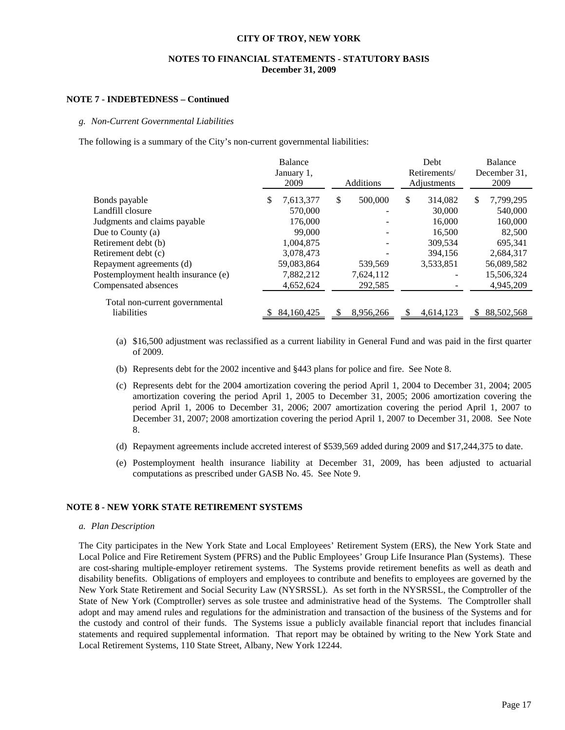### **NOTES TO FINANCIAL STATEMENTS - STATUTORY BASIS December 31, 2009**

#### **NOTE 7 - INDEBTEDNESS – Continued**

#### *g. Non-Current Governmental Liabilities*

The following is a summary of the City's non-current governmental liabilities:

|                                     | Balance<br>January 1,<br>2009 | Additions     | Debt<br>Retirements/<br>Adjustments |    | <b>Balance</b><br>December 31.<br>2009 |
|-------------------------------------|-------------------------------|---------------|-------------------------------------|----|----------------------------------------|
| Bonds payable                       | \$<br>7,613,377               | \$<br>500,000 | \$<br>314,082                       | \$ | 7,799,295                              |
| Landfill closure                    | 570,000                       |               | 30,000                              |    | 540,000                                |
| Judgments and claims payable        | 176,000                       |               | 16,000                              |    | 160,000                                |
| Due to County $(a)$                 | 99,000                        |               | 16,500                              |    | 82,500                                 |
| Retirement debt (b)                 | 1,004,875                     |               | 309,534                             |    | 695.341                                |
| Retirement debt (c)                 | 3,078,473                     |               | 394.156                             |    | 2,684,317                              |
| Repayment agreements (d)            | 59,083,864                    | 539,569       | 3,533,851                           |    | 56,089,582                             |
| Postemployment health insurance (e) | 7,882,212                     | 7,624,112     |                                     |    | 15,506,324                             |
| Compensated absences                | 4,652,624                     | 292,585       |                                     |    | 4,945,209                              |
| Total non-current governmental      |                               |               |                                     |    |                                        |
| liabilities                         | 84,160,425                    | 8,956,266     | 4.614.123                           | S  | 88,502,568                             |

- (a) \$16,500 adjustment was reclassified as a current liability in General Fund and was paid in the first quarter of 2009.
- (b) Represents debt for the 2002 incentive and §443 plans for police and fire. See Note 8.
- (c) Represents debt for the 2004 amortization covering the period April 1, 2004 to December 31, 2004; 2005 amortization covering the period April 1, 2005 to December 31, 2005; 2006 amortization covering the period April 1, 2006 to December 31, 2006; 2007 amortization covering the period April 1, 2007 to December 31, 2007; 2008 amortization covering the period April 1, 2007 to December 31, 2008. See Note 8.
- (d) Repayment agreements include accreted interest of \$539,569 added during 2009 and \$17,244,375 to date.
- (e) Postemployment health insurance liability at December 31, 2009, has been adjusted to actuarial computations as prescribed under GASB No. 45. See Note 9.

### **NOTE 8 - NEW YORK STATE RETIREMENT SYSTEMS**

#### *a. Plan Description*

 The City participates in the New York State and Local Employees' Retirement System (ERS), the New York State and Local Police and Fire Retirement System (PFRS) and the Public Employees' Group Life Insurance Plan (Systems). These are cost-sharing multiple-employer retirement systems. The Systems provide retirement benefits as well as death and disability benefits. Obligations of employers and employees to contribute and benefits to employees are governed by the New York State Retirement and Social Security Law (NYSRSSL). As set forth in the NYSRSSL, the Comptroller of the State of New York (Comptroller) serves as sole trustee and administrative head of the Systems. The Comptroller shall adopt and may amend rules and regulations for the administration and transaction of the business of the Systems and for the custody and control of their funds. The Systems issue a publicly available financial report that includes financial statements and required supplemental information. That report may be obtained by writing to the New York State and Local Retirement Systems, 110 State Street, Albany, New York 12244.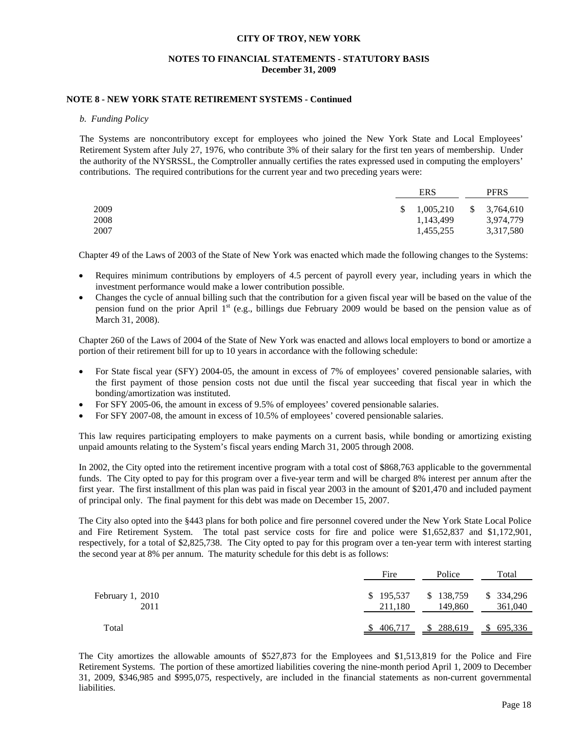### **NOTES TO FINANCIAL STATEMENTS - STATUTORY BASIS December 31, 2009**

#### **NOTE 8 - NEW YORK STATE RETIREMENT SYSTEMS - Continued**

#### *b. Funding Policy*

The Systems are noncontributory except for employees who joined the New York State and Local Employees' Retirement System after July 27, 1976, who contribute 3% of their salary for the first ten years of membership. Under the authority of the NYSRSSL, the Comptroller annually certifies the rates expressed used in computing the employers' contributions. The required contributions for the current year and two preceding years were:

|      | ERS                     | <b>PFRS</b> |
|------|-------------------------|-------------|
| 2009 | $\frac{$}{2}$ 1,005,210 | \$3,764,610 |
| 2008 | 1,143,499               | 3,974,779   |
| 2007 | 1,455,255               | 3,317,580   |

Chapter 49 of the Laws of 2003 of the State of New York was enacted which made the following changes to the Systems:

- Requires minimum contributions by employers of 4.5 percent of payroll every year, including years in which the investment performance would make a lower contribution possible.
- Changes the cycle of annual billing such that the contribution for a given fiscal year will be based on the value of the pension fund on the prior April  $1<sup>st</sup>$  (e.g., billings due February 2009 would be based on the pension value as of March 31, 2008).

Chapter 260 of the Laws of 2004 of the State of New York was enacted and allows local employers to bond or amortize a portion of their retirement bill for up to 10 years in accordance with the following schedule:

- For State fiscal year (SFY) 2004-05, the amount in excess of 7% of employees' covered pensionable salaries, with the first payment of those pension costs not due until the fiscal year succeeding that fiscal year in which the bonding/amortization was instituted.
- For SFY 2005-06, the amount in excess of 9.5% of employees' covered pensionable salaries.
- For SFY 2007-08, the amount in excess of 10.5% of employees' covered pensionable salaries.

This law requires participating employers to make payments on a current basis, while bonding or amortizing existing unpaid amounts relating to the System's fiscal years ending March 31, 2005 through 2008.

In 2002, the City opted into the retirement incentive program with a total cost of \$868,763 applicable to the governmental funds. The City opted to pay for this program over a five-year term and will be charged 8% interest per annum after the first year. The first installment of this plan was paid in fiscal year 2003 in the amount of \$201,470 and included payment of principal only. The final payment for this debt was made on December 15, 2007.

The City also opted into the §443 plans for both police and fire personnel covered under the New York State Local Police and Fire Retirement System. The total past service costs for fire and police were \$1,652,837 and \$1,172,901, respectively, for a total of \$2,825,738. The City opted to pay for this program over a ten-year term with interest starting the second year at 8% per annum. The maturity schedule for this debt is as follows:

|                          | Fire                 | Police               | Total                 |
|--------------------------|----------------------|----------------------|-----------------------|
| February 1, 2010<br>2011 | \$195,537<br>211,180 | \$138,759<br>149,860 | \$ 334,296<br>361,040 |
| Total                    | \$406,717            | \$288,619            | \$695,336             |

The City amortizes the allowable amounts of \$527,873 for the Employees and \$1,513,819 for the Police and Fire Retirement Systems. The portion of these amortized liabilities covering the nine-month period April 1, 2009 to December 31, 2009, \$346,985 and \$995,075, respectively, are included in the financial statements as non-current governmental liabilities.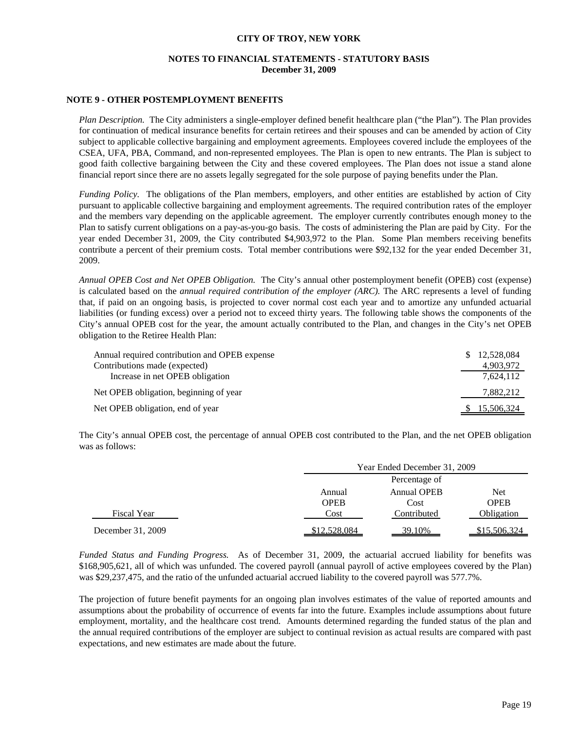# **NOTES TO FINANCIAL STATEMENTS - STATUTORY BASIS December 31, 2009**

#### **NOTE 9 - OTHER POSTEMPLOYMENT BENEFITS**

*Plan Description.* The City administers a single-employer defined benefit healthcare plan ("the Plan"). The Plan provides for continuation of medical insurance benefits for certain retirees and their spouses and can be amended by action of City subject to applicable collective bargaining and employment agreements. Employees covered include the employees of the CSEA, UFA, PBA, Command, and non-represented employees. The Plan is open to new entrants. The Plan is subject to good faith collective bargaining between the City and these covered employees. The Plan does not issue a stand alone financial report since there are no assets legally segregated for the sole purpose of paying benefits under the Plan.

*Funding Policy.* The obligations of the Plan members, employers, and other entities are established by action of City pursuant to applicable collective bargaining and employment agreements. The required contribution rates of the employer and the members vary depending on the applicable agreement. The employer currently contributes enough money to the Plan to satisfy current obligations on a pay-as-you-go basis. The costs of administering the Plan are paid by City. For the year ended December 31, 2009, the City contributed \$4,903,972 to the Plan. Some Plan members receiving benefits contribute a percent of their premium costs. Total member contributions were \$92,132 for the year ended December 31, 2009.

*Annual OPEB Cost and Net OPEB Obligation.* The City's annual other postemployment benefit (OPEB) cost (expense) is calculated based on the *annual required contribution of the employer (ARC).* The ARC represents a level of funding that, if paid on an ongoing basis, is projected to cover normal cost each year and to amortize any unfunded actuarial liabilities (or funding excess) over a period not to exceed thirty years. The following table shows the components of the City's annual OPEB cost for the year, the amount actually contributed to the Plan, and changes in the City's net OPEB obligation to the Retiree Health Plan:

| Annual required contribution and OPEB expense | \$ 12,528,084       |
|-----------------------------------------------|---------------------|
| Contributions made (expected)                 | 4,903,972           |
| Increase in net OPEB obligation               | 7,624,112           |
| Net OPEB obligation, beginning of year        | 7,882,212           |
| Net OPEB obligation, end of year              | <u>\$15,506,324</u> |

The City's annual OPEB cost, the percentage of annual OPEB cost contributed to the Plan, and the net OPEB obligation was as follows:

|                   |              | Year Ended December 31, 2009 |              |  |  |  |
|-------------------|--------------|------------------------------|--------------|--|--|--|
|                   |              | Percentage of                |              |  |  |  |
|                   | Annual       | <b>Annual OPEB</b><br>Net    |              |  |  |  |
|                   | <b>OPEB</b>  | <b>OPEB</b><br>Cost          |              |  |  |  |
| Fiscal Year       | Cost         | Contributed                  | Obligation   |  |  |  |
| December 31, 2009 | \$12,528,084 | 39.10%                       | \$15,506,324 |  |  |  |

*Funded Status and Funding Progress.* As of December 31, 2009, the actuarial accrued liability for benefits was \$168,905,621, all of which was unfunded. The covered payroll (annual payroll of active employees covered by the Plan) was \$29,237,475, and the ratio of the unfunded actuarial accrued liability to the covered payroll was 577.7%.

The projection of future benefit payments for an ongoing plan involves estimates of the value of reported amounts and assumptions about the probability of occurrence of events far into the future. Examples include assumptions about future employment, mortality, and the healthcare cost trend. Amounts determined regarding the funded status of the plan and the annual required contributions of the employer are subject to continual revision as actual results are compared with past expectations, and new estimates are made about the future.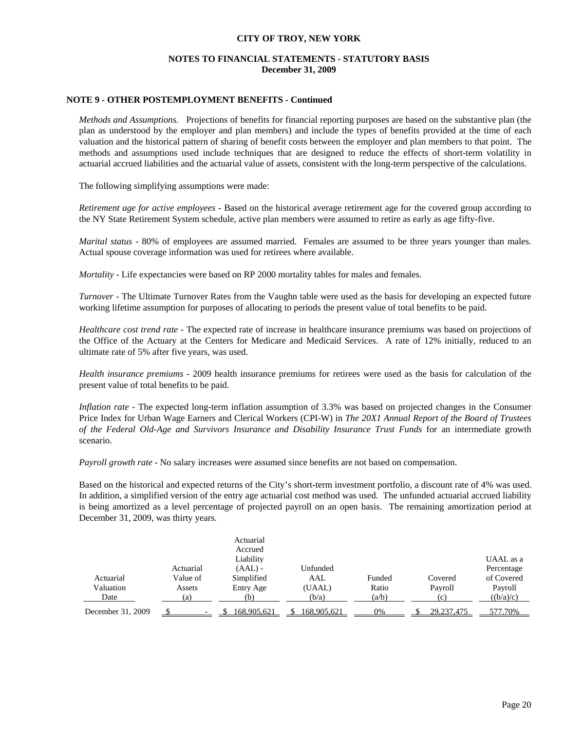# **NOTES TO FINANCIAL STATEMENTS - STATUTORY BASIS December 31, 2009**

#### **NOTE 9 - OTHER POSTEMPLOYMENT BENEFITS - Continued**

*Methods and Assumptions.* Projections of benefits for financial reporting purposes are based on the substantive plan (the plan as understood by the employer and plan members) and include the types of benefits provided at the time of each valuation and the historical pattern of sharing of benefit costs between the employer and plan members to that point. The methods and assumptions used include techniques that are designed to reduce the effects of short-term volatility in actuarial accrued liabilities and the actuarial value of assets, consistent with the long-term perspective of the calculations.

The following simplifying assumptions were made:

*Retirement age for active employees -* Based on the historical average retirement age for the covered group according to the NY State Retirement System schedule, active plan members were assumed to retire as early as age fifty-five.

*Marital status -* 80% of employees are assumed married. Females are assumed to be three years younger than males. Actual spouse coverage information was used for retirees where available.

*Mortality -* Life expectancies were based on RP 2000 mortality tables for males and females.

*Turnover -* The Ultimate Turnover Rates from the Vaughn table were used as the basis for developing an expected future working lifetime assumption for purposes of allocating to periods the present value of total benefits to be paid.

*Healthcare cost trend rate -* The expected rate of increase in healthcare insurance premiums was based on projections of the Office of the Actuary at the Centers for Medicare and Medicaid Services. A rate of 12% initially, reduced to an ultimate rate of 5% after five years, was used.

*Health insurance premiums -* 2009 health insurance premiums for retirees were used as the basis for calculation of the present value of total benefits to be paid.

*Inflation rate -* The expected long-term inflation assumption of 3.3% was based on projected changes in the Consumer Price Index for Urban Wage Earners and Clerical Workers (CPI-W) in *The 20X1 Annual Report of the Board of Trustees of the Federal Old-Age and Survivors Insurance and Disability Insurance Trust Funds* for an intermediate growth scenario.

*Payroll growth rate -* No salary increases were assumed since benefits are not based on compensation.

Based on the historical and expected returns of the City's short-term investment portfolio, a discount rate of 4% was used. In addition, a simplified version of the entry age actuarial cost method was used. The unfunded actuarial accrued liability is being amortized as a level percentage of projected payroll on an open basis. The remaining amortization period at December 31, 2009, was thirty years.

|                   |           | Actuarial<br>Accrued |             |        |            |            |
|-------------------|-----------|----------------------|-------------|--------|------------|------------|
|                   |           | Liability            |             |        |            | UAAL as a  |
|                   | Actuarial | $(AAL)$ -            | Unfunded    |        |            | Percentage |
| Actuarial         | Value of  | Simplified           | AAL         | Funded | Covered    | of Covered |
| Valuation         | Assets    | Entry Age            | (UAAL)      | Ratio  | Payroll    | Payroll    |
| Date              | (a)       | (b)                  | (b/a)       | (a/b)  | (c)        | ((b/a)/c)  |
| December 31, 2009 |           | 168,905,621          | 168,905,621 | 0%     | 29.237.475 | 577.70%    |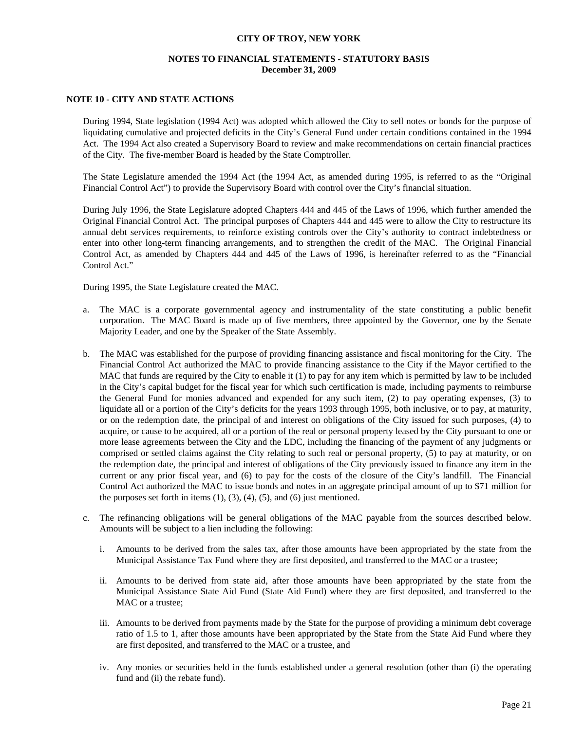# **NOTES TO FINANCIAL STATEMENTS - STATUTORY BASIS December 31, 2009**

### **NOTE 10 - CITY AND STATE ACTIONS**

 During 1994, State legislation (1994 Act) was adopted which allowed the City to sell notes or bonds for the purpose of liquidating cumulative and projected deficits in the City's General Fund under certain conditions contained in the 1994 Act. The 1994 Act also created a Supervisory Board to review and make recommendations on certain financial practices of the City. The five-member Board is headed by the State Comptroller.

 The State Legislature amended the 1994 Act (the 1994 Act, as amended during 1995, is referred to as the "Original Financial Control Act") to provide the Supervisory Board with control over the City's financial situation.

 During July 1996, the State Legislature adopted Chapters 444 and 445 of the Laws of 1996, which further amended the Original Financial Control Act. The principal purposes of Chapters 444 and 445 were to allow the City to restructure its annual debt services requirements, to reinforce existing controls over the City's authority to contract indebtedness or enter into other long-term financing arrangements, and to strengthen the credit of the MAC. The Original Financial Control Act, as amended by Chapters 444 and 445 of the Laws of 1996, is hereinafter referred to as the "Financial Control Act."

During 1995, the State Legislature created the MAC.

- a. The MAC is a corporate governmental agency and instrumentality of the state constituting a public benefit corporation. The MAC Board is made up of five members, three appointed by the Governor, one by the Senate Majority Leader, and one by the Speaker of the State Assembly.
- b. The MAC was established for the purpose of providing financing assistance and fiscal monitoring for the City. The Financial Control Act authorized the MAC to provide financing assistance to the City if the Mayor certified to the MAC that funds are required by the City to enable it (1) to pay for any item which is permitted by law to be included in the City's capital budget for the fiscal year for which such certification is made, including payments to reimburse the General Fund for monies advanced and expended for any such item, (2) to pay operating expenses, (3) to liquidate all or a portion of the City's deficits for the years 1993 through 1995, both inclusive, or to pay, at maturity, or on the redemption date, the principal of and interest on obligations of the City issued for such purposes, (4) to acquire, or cause to be acquired, all or a portion of the real or personal property leased by the City pursuant to one or more lease agreements between the City and the LDC, including the financing of the payment of any judgments or comprised or settled claims against the City relating to such real or personal property, (5) to pay at maturity, or on the redemption date, the principal and interest of obligations of the City previously issued to finance any item in the current or any prior fiscal year, and (6) to pay for the costs of the closure of the City's landfill. The Financial Control Act authorized the MAC to issue bonds and notes in an aggregate principal amount of up to \$71 million for the purposes set forth in items  $(1)$ ,  $(3)$ ,  $(4)$ ,  $(5)$ , and  $(6)$  just mentioned.
- c. The refinancing obligations will be general obligations of the MAC payable from the sources described below. Amounts will be subject to a lien including the following:
	- i. Amounts to be derived from the sales tax, after those amounts have been appropriated by the state from the Municipal Assistance Tax Fund where they are first deposited, and transferred to the MAC or a trustee;
	- ii. Amounts to be derived from state aid, after those amounts have been appropriated by the state from the Municipal Assistance State Aid Fund (State Aid Fund) where they are first deposited, and transferred to the MAC or a trustee;
	- iii. Amounts to be derived from payments made by the State for the purpose of providing a minimum debt coverage ratio of 1.5 to 1, after those amounts have been appropriated by the State from the State Aid Fund where they are first deposited, and transferred to the MAC or a trustee, and
	- iv. Any monies or securities held in the funds established under a general resolution (other than (i) the operating fund and (ii) the rebate fund).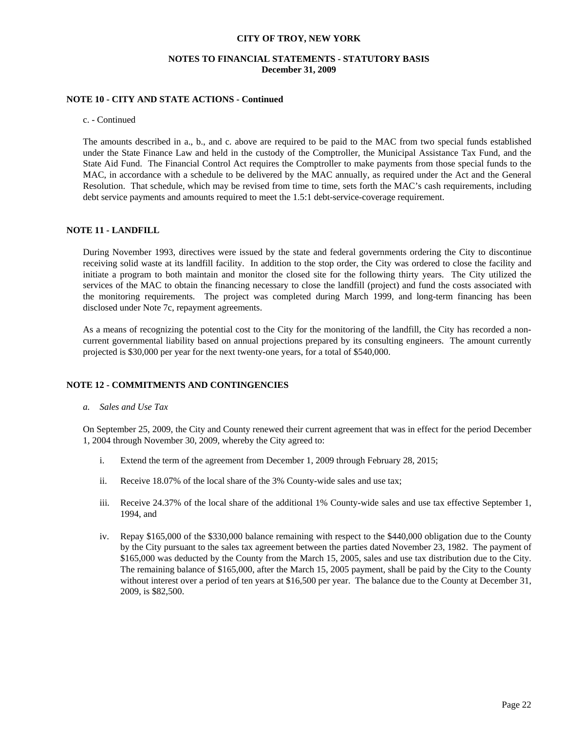### **NOTES TO FINANCIAL STATEMENTS - STATUTORY BASIS December 31, 2009**

#### **NOTE 10 - CITY AND STATE ACTIONS - Continued**

#### c. - Continued

 The amounts described in a., b., and c. above are required to be paid to the MAC from two special funds established under the State Finance Law and held in the custody of the Comptroller, the Municipal Assistance Tax Fund, and the State Aid Fund. The Financial Control Act requires the Comptroller to make payments from those special funds to the MAC, in accordance with a schedule to be delivered by the MAC annually, as required under the Act and the General Resolution. That schedule, which may be revised from time to time, sets forth the MAC's cash requirements, including debt service payments and amounts required to meet the 1.5:1 debt-service-coverage requirement.

### **NOTE 11 - LANDFILL**

 During November 1993, directives were issued by the state and federal governments ordering the City to discontinue receiving solid waste at its landfill facility. In addition to the stop order, the City was ordered to close the facility and initiate a program to both maintain and monitor the closed site for the following thirty years. The City utilized the services of the MAC to obtain the financing necessary to close the landfill (project) and fund the costs associated with the monitoring requirements. The project was completed during March 1999, and long-term financing has been disclosed under Note 7c, repayment agreements.

 As a means of recognizing the potential cost to the City for the monitoring of the landfill, the City has recorded a noncurrent governmental liability based on annual projections prepared by its consulting engineers. The amount currently projected is \$30,000 per year for the next twenty-one years, for a total of \$540,000.

### **NOTE 12 - COMMITMENTS AND CONTINGENCIES**

 *a. Sales and Use Tax* 

 On September 25, 2009, the City and County renewed their current agreement that was in effect for the period December 1, 2004 through November 30, 2009, whereby the City agreed to:

- i. Extend the term of the agreement from December 1, 2009 through February 28, 2015;
- ii. Receive 18.07% of the local share of the 3% County-wide sales and use tax;
- iii. Receive 24.37% of the local share of the additional 1% County-wide sales and use tax effective September 1, 1994, and
- iv. Repay \$165,000 of the \$330,000 balance remaining with respect to the \$440,000 obligation due to the County by the City pursuant to the sales tax agreement between the parties dated November 23, 1982. The payment of \$165,000 was deducted by the County from the March 15, 2005, sales and use tax distribution due to the City. The remaining balance of \$165,000, after the March 15, 2005 payment, shall be paid by the City to the County without interest over a period of ten years at \$16,500 per year. The balance due to the County at December 31, 2009, is \$82,500.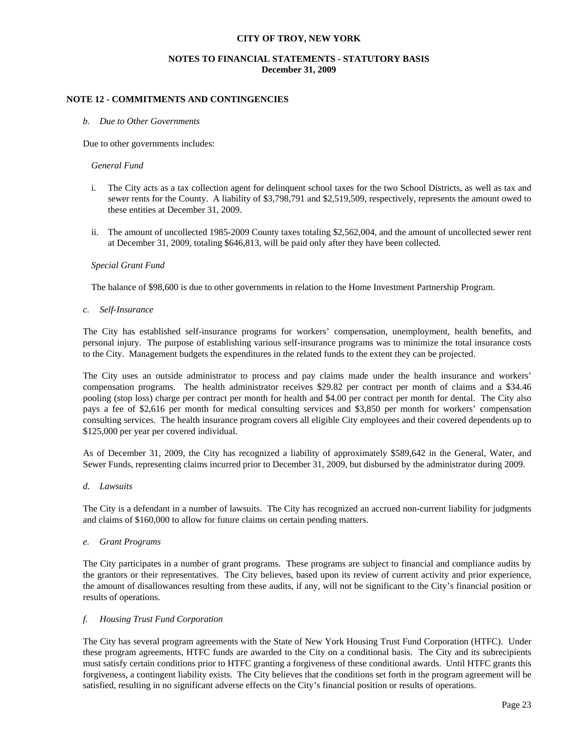# **NOTES TO FINANCIAL STATEMENTS - STATUTORY BASIS December 31, 2009**

### **NOTE 12 - COMMITMENTS AND CONTINGENCIES**

#### *b. Due to Other Governments*

Due to other governments includes:

#### *General Fund*

- i. The City acts as a tax collection agent for delinquent school taxes for the two School Districts, as well as tax and sewer rents for the County. A liability of \$3,798,791 and \$2,519,509, respectively, represents the amount owed to these entities at December 31, 2009.
- ii. The amount of uncollected 1985-2009 County taxes totaling \$2,562,004, and the amount of uncollected sewer rent at December 31, 2009, totaling \$646,813, will be paid only after they have been collected.

#### *Special Grant Fund*

The balance of \$98,600 is due to other governments in relation to the Home Investment Partnership Program.

 *c. Self-Insurance*

 The City has established self-insurance programs for workers' compensation, unemployment, health benefits, and personal injury. The purpose of establishing various self-insurance programs was to minimize the total insurance costs to the City. Management budgets the expenditures in the related funds to the extent they can be projected.

 The City uses an outside administrator to process and pay claims made under the health insurance and workers' compensation programs. The health administrator receives \$29.82 per contract per month of claims and a \$34.46 pooling (stop loss) charge per contract per month for health and \$4.00 per contract per month for dental. The City also pays a fee of \$2,616 per month for medical consulting services and \$3,850 per month for workers' compensation consulting services. The health insurance program covers all eligible City employees and their covered dependents up to \$125,000 per year per covered individual.

 As of December 31, 2009, the City has recognized a liability of approximately \$589,642 in the General, Water, and Sewer Funds, representing claims incurred prior to December 31, 2009, but disbursed by the administrator during 2009.

 *d. Lawsuits*

 The City is a defendant in a number of lawsuits. The City has recognized an accrued non-current liability for judgments and claims of \$160,000 to allow for future claims on certain pending matters.

 *e. Grant Programs* 

 The City participates in a number of grant programs. These programs are subject to financial and compliance audits by the grantors or their representatives. The City believes, based upon its review of current activity and prior experience, the amount of disallowances resulting from these audits, if any, will not be significant to the City's financial position or results of operations.

#### *f. Housing Trust Fund Corporation*

 The City has several program agreements with the State of New York Housing Trust Fund Corporation (HTFC). Under these program agreements, HTFC funds are awarded to the City on a conditional basis. The City and its subrecipients must satisfy certain conditions prior to HTFC granting a forgiveness of these conditional awards. Until HTFC grants this forgiveness, a contingent liability exists. The City believes that the conditions set forth in the program agreement will be satisfied, resulting in no significant adverse effects on the City's financial position or results of operations.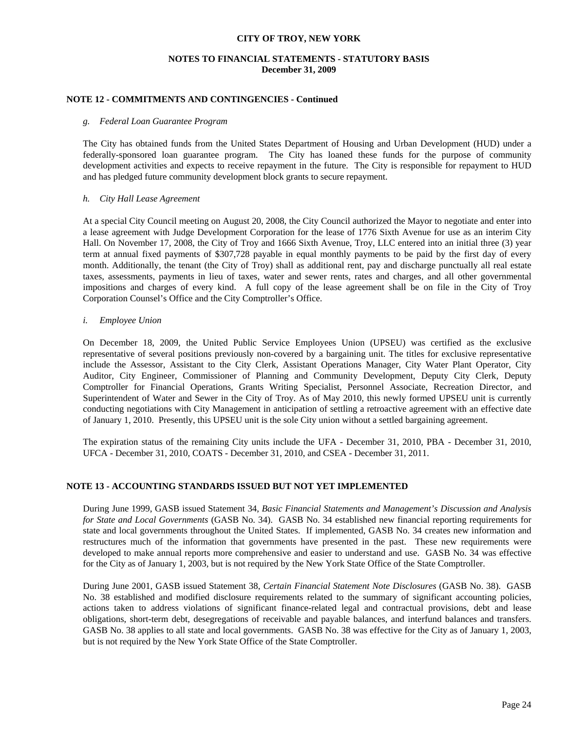# **NOTES TO FINANCIAL STATEMENTS - STATUTORY BASIS December 31, 2009**

### **NOTE 12 - COMMITMENTS AND CONTINGENCIES - Continued**

#### *g. Federal Loan Guarantee Program*

 The City has obtained funds from the United States Department of Housing and Urban Development (HUD) under a federally-sponsored loan guarantee program. The City has loaned these funds for the purpose of community development activities and expects to receive repayment in the future. The City is responsible for repayment to HUD and has pledged future community development block grants to secure repayment.

#### *h. City Hall Lease Agreement*

At a special City Council meeting on August 20, 2008, the City Council authorized the Mayor to negotiate and enter into a lease agreement with Judge Development Corporation for the lease of 1776 Sixth Avenue for use as an interim City Hall. On November 17, 2008, the City of Troy and 1666 Sixth Avenue, Troy, LLC entered into an initial three (3) year term at annual fixed payments of \$307,728 payable in equal monthly payments to be paid by the first day of every month. Additionally, the tenant (the City of Troy) shall as additional rent, pay and discharge punctually all real estate taxes, assessments, payments in lieu of taxes, water and sewer rents, rates and charges, and all other governmental impositions and charges of every kind. A full copy of the lease agreement shall be on file in the City of Troy Corporation Counsel's Office and the City Comptroller's Office.

#### *i. Employee Union*

On December 18, 2009, the United Public Service Employees Union (UPSEU) was certified as the exclusive representative of several positions previously non-covered by a bargaining unit. The titles for exclusive representative include the Assessor, Assistant to the City Clerk, Assistant Operations Manager, City Water Plant Operator, City Auditor, City Engineer, Commissioner of Planning and Community Development, Deputy City Clerk, Deputy Comptroller for Financial Operations, Grants Writing Specialist, Personnel Associate, Recreation Director, and Superintendent of Water and Sewer in the City of Troy. As of May 2010, this newly formed UPSEU unit is currently conducting negotiations with City Management in anticipation of settling a retroactive agreement with an effective date of January 1, 2010. Presently, this UPSEU unit is the sole City union without a settled bargaining agreement.

The expiration status of the remaining City units include the UFA - December 31, 2010, PBA - December 31, 2010, UFCA - December 31, 2010, COATS - December 31, 2010, and CSEA - December 31, 2011.

### **NOTE 13 - ACCOUNTING STANDARDS ISSUED BUT NOT YET IMPLEMENTED**

 During June 1999, GASB issued Statement 34, *Basic Financial Statements and Management's Discussion and Analysis for State and Local Governments* (GASB No. 34). GASB No. 34 established new financial reporting requirements for state and local governments throughout the United States. If implemented, GASB No. 34 creates new information and restructures much of the information that governments have presented in the past. These new requirements were developed to make annual reports more comprehensive and easier to understand and use. GASB No. 34 was effective for the City as of January 1, 2003, but is not required by the New York State Office of the State Comptroller.

 During June 2001, GASB issued Statement 38, *Certain Financial Statement Note Disclosures* (GASB No. 38). GASB No. 38 established and modified disclosure requirements related to the summary of significant accounting policies, actions taken to address violations of significant finance-related legal and contractual provisions, debt and lease obligations, short-term debt, desegregations of receivable and payable balances, and interfund balances and transfers. GASB No. 38 applies to all state and local governments. GASB No. 38 was effective for the City as of January 1, 2003, but is not required by the New York State Office of the State Comptroller.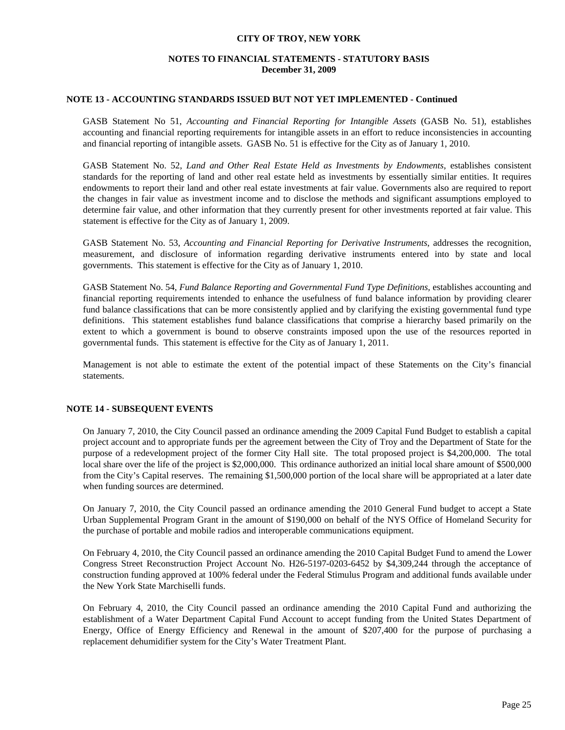# **NOTES TO FINANCIAL STATEMENTS - STATUTORY BASIS December 31, 2009**

### **NOTE 13 - ACCOUNTING STANDARDS ISSUED BUT NOT YET IMPLEMENTED - Continued**

 GASB Statement No 51, *Accounting and Financial Reporting for Intangible Assets* (GASB No. 51)*,* establishes accounting and financial reporting requirements for intangible assets in an effort to reduce inconsistencies in accounting and financial reporting of intangible assets. GASB No. 51 is effective for the City as of January 1, 2010.

GASB Statement No. 52, *Land and Other Real Estate Held as Investments by Endowments*, establishes consistent standards for the reporting of land and other real estate held as investments by essentially similar entities. It requires endowments to report their land and other real estate investments at fair value. Governments also are required to report the changes in fair value as investment income and to disclose the methods and significant assumptions employed to determine fair value, and other information that they currently present for other investments reported at fair value. This statement is effective for the City as of January 1, 2009.

GASB Statement No. 53, *Accounting and Financial Reporting for Derivative Instruments*, addresses the recognition, measurement, and disclosure of information regarding derivative instruments entered into by state and local governments. This statement is effective for the City as of January 1, 2010.

GASB Statement No. 54, *Fund Balance Reporting and Governmental Fund Type Definitions,* establishes accounting and financial reporting requirements intended to enhance the usefulness of fund balance information by providing clearer fund balance classifications that can be more consistently applied and by clarifying the existing governmental fund type definitions. This statement establishes fund balance classifications that comprise a hierarchy based primarily on the extent to which a government is bound to observe constraints imposed upon the use of the resources reported in governmental funds. This statement is effective for the City as of January 1, 2011.

 Management is not able to estimate the extent of the potential impact of these Statements on the City's financial statements.

# **NOTE 14 - SUBSEQUENT EVENTS**

On January 7, 2010, the City Council passed an ordinance amending the 2009 Capital Fund Budget to establish a capital project account and to appropriate funds per the agreement between the City of Troy and the Department of State for the purpose of a redevelopment project of the former City Hall site. The total proposed project is \$4,200,000. The total local share over the life of the project is \$2,000,000. This ordinance authorized an initial local share amount of \$500,000 from the City's Capital reserves. The remaining \$1,500,000 portion of the local share will be appropriated at a later date when funding sources are determined.

On January 7, 2010, the City Council passed an ordinance amending the 2010 General Fund budget to accept a State Urban Supplemental Program Grant in the amount of \$190,000 on behalf of the NYS Office of Homeland Security for the purchase of portable and mobile radios and interoperable communications equipment.

On February 4, 2010, the City Council passed an ordinance amending the 2010 Capital Budget Fund to amend the Lower Congress Street Reconstruction Project Account No. H26-5197-0203-6452 by \$4,309,244 through the acceptance of construction funding approved at 100% federal under the Federal Stimulus Program and additional funds available under the New York State Marchiselli funds.

On February 4, 2010, the City Council passed an ordinance amending the 2010 Capital Fund and authorizing the establishment of a Water Department Capital Fund Account to accept funding from the United States Department of Energy, Office of Energy Efficiency and Renewal in the amount of \$207,400 for the purpose of purchasing a replacement dehumidifier system for the City's Water Treatment Plant.